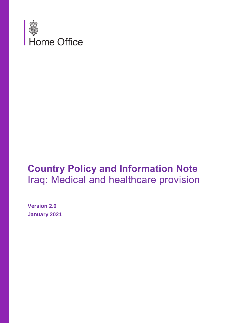

# **Country Policy and Information Note** Iraq: Medical and healthcare provision

**Version 2.0 January 2021**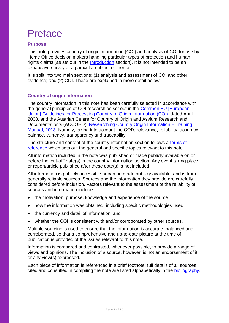## Preface

## **Purpose**

This note provides country of origin information (COI) and analysis of COI for use by Home Office decision makers handling particular types of protection and human rights claims (as set out in the [Introduction](#page-4-0) section). It is not intended to be an exhaustive survey of a particular subject or theme.

It is split into two main sections: (1) analysis and assessment of COI and other evidence; and (2) COI. These are explained in more detail below.

## **Country of origin information**

The country information in this note has been carefully selected in accordance with the general principles of COI research as set out in the [Common EU \[European](http://www.refworld.org/docid/48493f7f2.html)  [Union\] Guidelines for Processing Country of Origin Information \(COI\),](http://www.refworld.org/docid/48493f7f2.html) dated April 2008, and the Austrian Centre for Country of Origin and Asylum Research and Documentation's (ACCORD), [Researching Country Origin Information –](https://www.coi-training.net/researching-coi/) Training [Manual, 2013.](https://www.coi-training.net/researching-coi/) Namely, taking into account the COI's relevance, reliability, accuracy, balance, currency, transparency and traceability.

The structure and content of the country information section follows a [terms of](https://ukhomeoffice.sharepoint.com/sites/PROC975/SharedDocuments/Countries/Bangladesh/CPINs/Bangladesh-Actors%20of%20protection-CPIN-v1.0(draft).docx#_Terms_of_Reference)  [reference](https://ukhomeoffice.sharepoint.com/sites/PROC975/SharedDocuments/Countries/Bangladesh/CPINs/Bangladesh-Actors%20of%20protection-CPIN-v1.0(draft).docx#_Terms_of_Reference) which sets out the general and specific topics relevant to this note.

All information included in the note was published or made publicly available on or before the 'cut-off' date(s) in the country information section. Any event taking place or report/article published after these date(s) is not included.

All information is publicly accessible or can be made publicly available, and is from generally reliable sources. Sources and the information they provide are carefully considered before inclusion. Factors relevant to the assessment of the reliability of sources and information include:

- the motivation, purpose, knowledge and experience of the source
- how the information was obtained, including specific methodologies used
- the currency and detail of information, and
- whether the COI is consistent with and/or corroborated by other sources.

Multiple sourcing is used to ensure that the information is accurate, balanced and corroborated, so that a comprehensive and up-to-date picture at the time of publication is provided of the issues relevant to this note.

Information is compared and contrasted, whenever possible, to provide a range of views and opinions. The inclusion of a source, however, is not an endorsement of it or any view(s) expressed.

Each piece of information is referenced in a brief footnote; full details of all sources cited and consulted in compiling the note are listed alphabetically in the [bibliography.](https://ukhomeoffice.sharepoint.com/sites/PROC975/SharedDocuments/Countries/Bangladesh/CPINs/Bangladesh-Actors%20of%20protection-CPIN-v1.0(draft).docx#_Bibliography)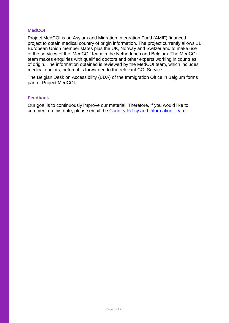## **MedCOI**

Project MedCOI is an Asylum and Migration Integration Fund (AMIF) financed project to obtain medical country of origin information. The project currently allows 11 European Union member states plus the UK, Norway and Switzerland to make use of the services of the 'MedCOI' team in the Netherlands and Belgium. The MedCOI team makes enquiries with qualified doctors and other experts working in countries of origin. The information obtained is reviewed by the MedCOI team, which includes medical doctors, before it is forwarded to the relevant COI Service.

The Belgian Desk on Accessibility (BDA) of the Immigration Office in Belgium forms part of Project MedCOI.

## **Feedback**

<span id="page-2-0"></span>Our goal is to continuously improve our material. Therefore, if you would like to comment on this note, please email the [Country Policy and Information Team.](mailto:cipu@homeoffice.gov.uk)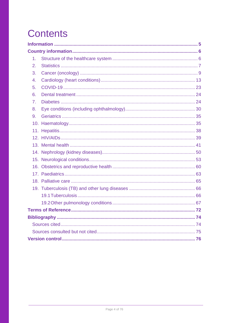# **Contents**

| 1.               |  |  |
|------------------|--|--|
| 2.               |  |  |
| 3.               |  |  |
| $\overline{4}$ . |  |  |
| 5.               |  |  |
| 6.               |  |  |
| 7 <sub>1</sub>   |  |  |
| 8.               |  |  |
| 9.               |  |  |
|                  |  |  |
|                  |  |  |
|                  |  |  |
|                  |  |  |
|                  |  |  |
|                  |  |  |
|                  |  |  |
|                  |  |  |
|                  |  |  |
|                  |  |  |
|                  |  |  |
|                  |  |  |
|                  |  |  |
|                  |  |  |
|                  |  |  |
|                  |  |  |
|                  |  |  |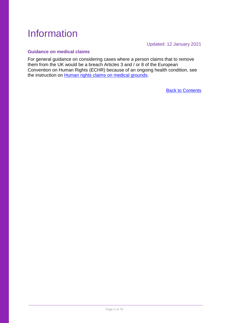## <span id="page-4-1"></span>Information

Updated: 12 January 2021

## <span id="page-4-0"></span>**Guidance on medical claims**

For general guidance on considering cases where a person claims that to remove them from the UK would be a breach Articles 3 and / or 8 of the European Convention on Human Rights (ECHR) because of an ongoing health condition, see the instruction on [Human rights claims on medical grounds.](https://www.gov.uk/government/publications/human-rights-claims-on-medical-grounds)

[Back to Contents](#page-2-0)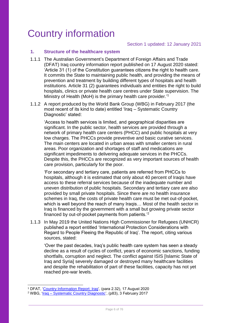## <span id="page-5-0"></span>Country information

## <span id="page-5-1"></span>**1. Structure of the healthcare system**

- 1.1.1 The Australian Government's Department of Foreign Affairs and Trade (DFAT) Iraq country information report published on 17 August 2020 stated: 'Article 31 (1) of the Constitution guarantees citizens the right to health care. It commits the State to maintaining public health, and providing the means of prevention and treatment by building different types of hospitals and health institutions. Article 31 (2) guarantees individuals and entities the right to build hospitals, clinics or private health care centres under State supervision. The Ministry of Health (MoH) is the primary health care provider.' 1
- 1.1.2 A report produced by the World Bank Group (WBG) in February 2017 (the most recent of its kind to date) entitled 'Iraq – Systematic Country Diagnostic' stated:

'Access to health services is limited, and geographical disparities are significant. In the public sector, health services are provided through a network of primary health care centers (PHCC) and public hospitals at very low charges. The PHCCs provide preventive and basic curative services. The main centers are located in urban areas with smaller centers in rural areas. Poor organization and shortages of staff and medications are significant impediments to delivering adequate services in the PHCCs. Despite this, the PHCCs are recognized as very important sources of health care provision, particularly for the poor.

'For secondary and tertiary care, patients are referred from PHCCs to hospitals, although it is estimated that only about 40 percent of Iraqis have access to these referral services because of the inadequate number and uneven distribution of public hospitals. Secondary and tertiary care are also provided by small private hospitals. Since there are no health insurance schemes in Iraq, the costs of private health care must be met out-of-pocket, which is well beyond the reach of many Iragis... Most of the health sector in Iraq is financed by the government with a small but growing private sector financed by out-of-pocket payments from patients.'<sup>2</sup>

1.1.3 In May 2019 the United Nations High Commissioner for Refugees (UNHCR) published a report entitled 'International Protection Considerations with Regard to People Fleeing the Republic of Iraq'. The report, citing various sources, stated:

'Over the past decades, Iraq's public health care system has seen a steady decline as a result of cycles of conflict, years of economic sanctions, funding shortfalls, corruption and neglect. The conflict against ISIS [Islamic State of Iraq and Syria] severely damaged or destroyed many healthcare facilities and despite the rehabilitation of part of these facilities, capacity has not yet reached pre-war levels.

 $\overline{a}$ <sup>1</sup> DFAT, ['Country Information Report: Iraq',](https://www.ecoi.net/en/file/local/2036511/country-information-report-iraq.pdf) (para 2.32), 17 August 2020

<sup>2</sup> WBG, 'Iraq – [Systematic Country Diagnostic',](http://documents1.worldbank.org/curated/en/542811487277729890/pdf/IRAQ-SCD-FINAL-cleared-02132017.pdf) (p83), 3 February 2017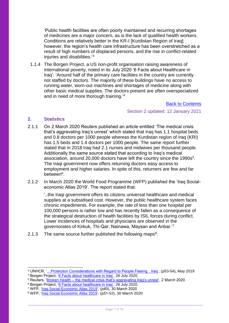'Public health facilities are often poorly maintained and recurring shortages of medicines are a major concern, as is the lack of qualified health workers. Conditions are relatively better in the KR-I [Kurdistan Region of Iraq]; however, the region's health care infrastructure has been overstretched as a result of high numbers of displaced persons, and the rise in conflict-related injuries and disabilities.'<sup>3</sup>

1.1.4 The Borgen Project, a US non-profit organisation raising awareness of international poverty, noted in its July 2020 '6 Facts about Healthcare in Iraq': 'Around half of the primary care facilities in the country are currently not staffed by doctors. The majority of these buildings have no access to running water, worn-out machines and shortages of medicine along with other basic medical supplies. The doctors present are often overspecialized and in need of more thorough training.' 4

## [Back to Contents](#page-2-0)

Section 2 updated: 12 January 2021

## <span id="page-6-0"></span>**2. Statistics**

-

- 2.1.1 On 2 March 2020 Reuters published an article entitled 'The medical crisis that's aggravating Iraq's unrest' which stated that Iraq has 1.1 hospital beds and 0.8 doctors per 1000 people whereas the Kurdistan region of Iraq (KRI) has 1.5 beds and 1.4 doctors per 1000 people. The same report further stated that in 2018 Iraq had 2.1 nurses and midwives per thousand people. Additionally the same source stated that according to Iraq's medical association, around 20,000 doctors have left the country since the 1990s<sup>5</sup>. The Iraqi government now offers returning doctors easy access to employment and higher salaries. In spite of this, returners are few and far between<sup>6</sup>.
- 2.1.2 In March 2020 the World Food Programme (WFP) published the 'Iraq Socialeconomic Atlas 2019'. The report stated that:

'..the Iraqi government offers its citizens universal healthcare and medical supplies at a subsidised cost. However, the public healthcare system faces chronic impediments. For example, the rate of less than one hospital per 100,000 persons is rather low and has recently fallen as a consequence of the strategical destruction of health facilities by ISIL forces during conflict. Lower incidences of hospitals and physicians are observed in the governorates of Kirkuk, Thi-Qar, Nainawa, Maysan and Anbar.'<sup>7</sup>

2.1.3 The same source further published the following maps $8$ :

<sup>&</sup>lt;sup>3</sup> UNHCR, '... Protection Considerations with Regard to People Fleeing... Iraq', (p53-54), May 2019

<sup>4</sup> Borgen Project, ['6 Facts about healthcare in Iraq',](https://borgenproject.org/6-facts-about-healthcare-in-iraq/) 28 July 2020

<sup>&</sup>lt;sup>5</sup> Reuters, '<u>Broken Health – the medical crisis that's aggravating Iraq's unrest</u>', 2 March 2020

<sup>6</sup> Borgen Project, ['6 Facts about healthcare in Iraq',](https://borgenproject.org/6-facts-about-healthcare-in-iraq/) 28 July 2020

<sup>&</sup>lt;sup>7</sup> WFP, ['Iraq Social-Economic Atlas 2019'](https://www.ecoi.net/en/file/local/2020086/WFP-0000110173.pdf), (p40), 30 March 2020

<sup>&</sup>lt;sup>8</sup> WFP, '<u>Iraq Social-Economic Atlas 2019</u>', (p51-52), 30 March 2020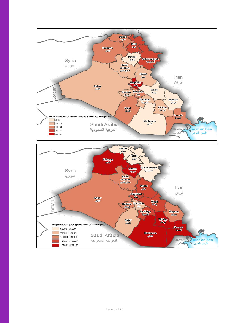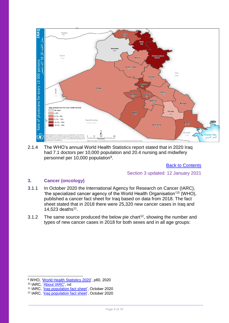

2.1.4 The WHO's annual World Health Statistics report stated that in 2020 Iraq had 7.1 doctors per 10,000 population and 20.4 nursing and midwifery personnel per 10,000 population<sup>9</sup>.

[Back to Contents](#page-2-0)

Section 3 updated: 12 January 2021

## <span id="page-8-0"></span>**3. Cancer (oncology)**

- 3.1.1 In October 2020 the International Agency for Research on Cancer (IARC), 'the specialized cancer agency of the World Health Organisation'<sup>10</sup> (WHO), published a cancer fact sheet for Iraq based on data from 2018. The fact sheet stated that in 2018 there were 25,320 new cancer cases in Iraq and 14,523 deaths<sup>11</sup>.
- 3.1.2 The same source produced the below pie chart<sup>12</sup>, showing the number and types of new cancer cases in 2018 for both sexes and in all age groups:

<sup>9</sup> WHO, ['World Health Statistics 2020'](https://apps.who.int/iris/bitstream/handle/10665/332070/9789240005105-eng.pdf), p60, 2020

<sup>10</sup> IARC, ['About IARC',](https://www.iarc.fr/cards_page/about-iarc/) nd

<sup>&</sup>lt;sup>11</sup> IARC, ['Iraq population fact sheet'](https://gco.iarc.fr/today/data/factsheets/populations/368-iraq-fact-sheets.pdf), October 2020

<sup>12</sup> IARC, ['Iraq population fact sheet'](https://gco.iarc.fr/today/data/factsheets/populations/368-iraq-fact-sheets.pdf), October 2020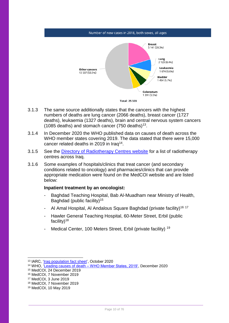#### Number of new cases in 2018, both sexes, all ages



- 3.1.3 The same source additionally states that the cancers with the highest numbers of deaths are lung cancer (2066 deaths), breast cancer (1727 deaths), leukaemia (1327 deaths), brain and central nervous system cancers (1085 deaths) and stomach cancer (750 deaths)<sup>13</sup>.
- 3.1.4 In December 2020 the WHO published data on causes of death across the WHO member states covering 2019. The data stated that there were 15,000 cancer related deaths in 2019 in Iraq<sup>14</sup>.
- 3.1.5 See the [Directory of Radiotherapy Centres website](https://dirac.iaea.org/Data/Operator?country=IRQ) for a list of radiotherapy centres across Iraq.
- 3.1.6 Some examples of hospitals/clinics that treat cancer (and secondary conditions related to oncology) and pharmacies/clinics that can provide appropriate medication were found on the MedCOI website and are listed below:

## **Inpatient treatment by an oncologist:**

- Baghdad Teaching Hospital, Bab Al-Muadham near Ministry of Health, Baghdad (public facility)<sup>15</sup>
- Al Amal Hospital, Al Andalous Square Baghdad (private facility)<sup>16</sup><sup>17</sup>
- Hawler General Teaching Hospital, 60-Meter Street, Erbil (public facility)<sup>18</sup>
- Medical Center, 100 Meters Street, Erbil (private facility) <sup>19</sup>

<sup>13</sup> IARC, ['Iraq population fact sheet'](https://gco.iarc.fr/today/data/factsheets/populations/368-iraq-fact-sheets.pdf), October 2020

<sup>14</sup> WHO, 'Leading causes of death – [WHO Member States, 2019',](https://www.who.int/data/gho/data/themes/mortality-and-global-health-estimates/ghe-leading-causes-of-death) December 2020

<sup>15</sup> MedCOI, 24 December 2019

<sup>16</sup> MedCOI, 7 November 2019

<sup>17</sup> MedCOI, 3 June 2019

<sup>18</sup> MedCOI, 7 November 2019

<sup>19</sup> MedCOI, 10 May 2019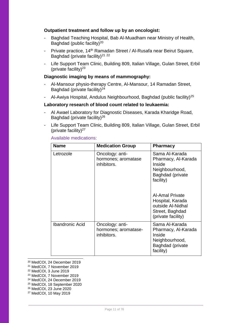## **Outpatient treatment and follow up by an oncologist:**

- Baghdad Teaching Hospital, Bab Al-Muadham near Ministry of Health, Baghdad (public facility)<sup>20</sup>
- Private practice, 14<sup>th</sup> Ramadan Street / Al-Rusafa near Beirut Square, Baghdad (private facility)<sup>21</sup><sup>22</sup>
- Life Support Team Clinic, Building 809, Italian Village, Gulan Street, Erbil (private facility) $23$

## **Diagnostic imaging by means of mammography:**

- Al-Mansour physio-therapy Centre, Al-Mansour, 14 Ramadan Street, Baghdad (private facility) $24$
- Al-Awiya Hospital, Andulus Neighbourhood, Baghdad (public facility)<sup>25</sup>

#### **Laboratory research of blood count related to leukaemia:**

- Al Awael Laboratory for Diagnostic Diseases, Karada Kharidge Road, Baghdad (private facility)<sup>26</sup>
- Life Support Team Clinic, Building 809, Italian Village, Gulan Street, Erbil (private facility) $27$

| <b>Name</b>            | <b>Medication Group</b>                                | <b>Pharmacy</b>                                                                                                                                                                                                |
|------------------------|--------------------------------------------------------|----------------------------------------------------------------------------------------------------------------------------------------------------------------------------------------------------------------|
| Letrozole              | Oncology: anti-<br>hormones; aromatase<br>inhibitors.  | Sama Al-Karada<br>Pharmacy, Al-Karada<br>Inside<br>Neighbourhood,<br>Baghdad (private<br>facility)<br><b>Al-Amal Private</b><br>Hospital, Karada<br>outside Al-Nidhal<br>Street, Baghdad<br>(private facility) |
| <b>Ibandronic Acid</b> | Oncology: anti-<br>hormones; aromatase-<br>inhibitors. | Sama Al-Karada<br>Pharmacy, Al-Karada<br>Inside<br>Neighbourhood,<br><b>Baghdad (private</b><br>facility)                                                                                                      |

## Available medications:

- <sup>20</sup> MedCOI, 24 December 2019
- <sup>21</sup> MedCOI, 7 November 2019

<sup>22</sup> MedCOI, 3 June 2019

1

<sup>23</sup> MedCOI, 7 November 2019

<sup>24</sup> MedCOI, 24 December 2019

<sup>25</sup> MedCOI, 18 September 2020

<sup>26</sup> MedCOI, 23 June 2020

<sup>27</sup> MedCOI, 10 May 2019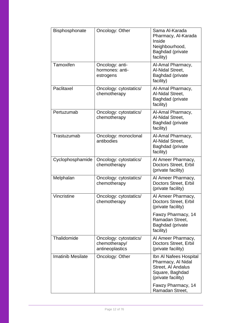| Bisphosphonate           | Oncology: Other                                            | Sama Al-Karada<br>Pharmacy, Al-Karada<br>Inside<br>Neighbourhood,<br>Baghdad (private<br>facility)          |
|--------------------------|------------------------------------------------------------|-------------------------------------------------------------------------------------------------------------|
| Tamoxifen                | Oncology: anti-<br>hormones: anti-<br>estrogens            | Al-Amal Pharmacy,<br>Al-Nidal Street,<br>Baghdad (private<br>facility)                                      |
| Paclitaxel               | Oncology: cytostatics/<br>chemotherapy                     | Al-Amal Pharmacy,<br>Al-Nidal Street,<br>Baghdad (private<br>facility)                                      |
| Pertuzumab               | Oncology: cytostatics/<br>chemotherapy                     | Al-Amal Pharmacy,<br>Al-Nidal Street,<br>Baghdad (private<br>facility)                                      |
| Trastuzumab              | Oncology: monoclonal<br>antibodies                         | Al-Amal Pharmacy,<br>Al-Nidal Street,<br>Baghdad (private<br>facility)                                      |
| Cyclophosphamide         | Oncology: cytostatics/<br>chemotherapy                     | Al Ameer Pharmacy,<br>Doctors Street, Erbil<br>(private facility)                                           |
| Melphalan                | Oncology: cytostatics/<br>chemotherapy                     | Al Ameer Pharmacy,<br>Doctors Street, Erbil<br>(private facility)                                           |
| Vincristine              | Oncology: cytostatics/<br>chemotherapy                     | Al Ameer Pharmacy,<br>Doctors Street, Erbil<br>(private facility)                                           |
|                          |                                                            | Fawzy Pharmacy, 14<br>Ramadan Street,<br>Baghdad (private<br>facility)                                      |
| Thalidomide              | Oncology: cytostatics/<br>chemotherapy/<br>antineoplastics | Al Ameer Pharmacy,<br>Doctors Street, Erbil<br>(private facility)                                           |
| <b>Imatinib Mesilate</b> | Oncology: Other                                            | Ibn Al Nafees Hospital<br>Pharmacy, Al Nidal<br>Street, Al Andalus<br>Square, Baghdad<br>(private facility) |
|                          |                                                            | Fawzy Pharmacy, 14<br>Ramadan Street,                                                                       |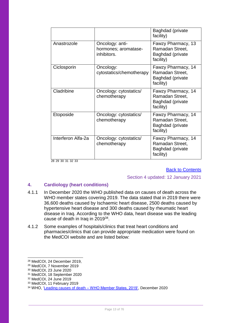|                    |                                                        | Baghdad (private<br>facility)                                          |
|--------------------|--------------------------------------------------------|------------------------------------------------------------------------|
| Anastrozole        | Oncology: anti-<br>hormones; aromatase-<br>inhibitors. | Fawzy Pharmacy, 13<br>Ramadan Street,<br>Baghdad (private<br>facility) |
| Ciclosporin        | Oncology:<br>cytostatics/chemotherapy                  | Fawzy Pharmacy, 14<br>Ramadan Street,<br>Baghdad (private<br>facility) |
| Cladribine         | Oncology: cytostatics/<br>chemotherapy                 | Fawzy Pharmacy, 14<br>Ramadan Street,<br>Baghdad (private<br>facility) |
| Etoposide          | Oncology: cytostatics/<br>chemotherapy                 | Fawzy Pharmacy, 14<br>Ramadan Street,<br>Baghdad (private<br>facility) |
| Interferon Alfa-2a | Oncology: cytostatics/<br>chemotherapy                 | Fawzy Pharmacy, 14<br>Ramadan Street,<br>Baghdad (private<br>facility) |

28 29 30 31 32 33

[Back to Contents](#page-2-0)

#### Section 4 updated: 12 January 2021

## <span id="page-12-0"></span>**4. Cardiology (heart conditions)**

- 4.1.1 In December 2020 the WHO published data on causes of death across the WHO member states covering 2019. The data stated that in 2019 there were 36,600 deaths caused by Ischaemic heart disease, 2500 deaths caused by hypertensive heart disease and 300 deaths caused by rheumatic heart disease in Iraq. According to the WHO data, heart disease was the leading cause of death in Iraq in 2019<sup>34</sup>.
- 4.1.2 Some examples of hospitals/clinics that treat heart conditions and pharmacies/clinics that can provide appropriate medication were found on the MedCOI website and are listed below:

<sup>28</sup> MedCOI, 24 December 2019,

<sup>29</sup> MedCOI, 7 November 2019

<sup>30</sup> MedCOI, 23 June 2020

<sup>31</sup> MedCOI, 18 September 2020

<sup>32</sup> MedCOI, 24 June 2019

<sup>33</sup> MedCOI, 11 February 2019

<sup>34</sup> WHO, 'Leading causes of death – [WHO Member States, 2019',](https://www.who.int/data/gho/data/themes/mortality-and-global-health-estimates/ghe-leading-causes-of-death) December 2020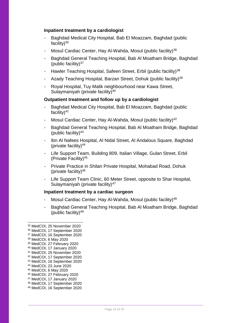## **Inpatient treatment by a cardiologist**

- Baghdad Medical City Hospital, Bab El Moazzam, Baghdad (public facility) $35$
- Mosul Cardiac Center, Hay Al-Wahda, Mosul (public facility)<sup>36</sup>
- Baghdad General Teaching Hospital, Bab Al Moatham Bridge, Baghdad (public facility) $37$
- Hawler Teaching Hospital, Safeen Street, Erbil (public facility)<sup>38</sup>
- Azady Teaching Hospital, Barzan Street, Dohuk (public facility)<sup>39</sup>
- Royal Hospital, Tuy Malik neighbourhood near Kawa Street, Sulaymaniyah (private facility)<sup>40</sup>

## **Outpatient treatment and follow up by a cardiologist**

- Baghdad Medical City Hospital, Bab El Moazzam, Baghdad (public facility)<sup>41</sup>
- Mosul Cardiac Center, Hay Al-Wahda, Mosul (public facility)<sup>42</sup>
- Baghdad General Teaching Hospital, Bab Al Moatham Bridge, Baghdad (public facility) $43$
- Ibn Al Nafees Hospital, Al Nidal Street, Al Andalous Square, Baghdad (private facility)<sup>44</sup>
- Life Support Team, Building 809, Italian Village, Gulan Street, Erbil (Private Facility)<sup>45</sup>
- Private Practice in Shilan Private Hospital, Mohabad Road, Dohuk (private facility) $46$
- Life Support Team Clinic, 60 Meter Street, opposite to Shar Hospital, Sulaymaniyah (private facility)<sup>47</sup>

#### **Inpatient treatment by a cardiac surgeon**

- Mosul Cardiac Center, Hay Al-Wahda, Mosul (public facility)<sup>48</sup>
- Baghdad General Teaching Hospital, Bab Al Moatham Bridge, Baghdad (public facility)<sup>49</sup>

-

<sup>42</sup> MedCOI, 17 September 2020 <sup>43</sup> MedCOI, 16 September 2020

<sup>35</sup> MedCOI, 25 November 2020

<sup>36</sup> MedCOI, 17 September 2020

<sup>37</sup> MedCOI, 16 September 2020

<sup>38</sup> MedCOI, 6 May 2020

<sup>39</sup> MedCOI, 27 February 2020

<sup>40</sup> MedCOI, 17 January 2020

<sup>41</sup> MedCOI, 25 November 2020

<sup>44</sup> MedCOI, 23 June 2020

<sup>45</sup> MedCOI, 6 May 2020

<sup>46</sup> MedCOI, 27 February 2020 <sup>47</sup> MedCOI, 17 January 2020

<sup>48</sup> MedCOI, 17 September 2020

<sup>49</sup> MedCOI, 16 September 2020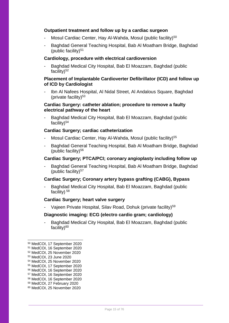## **Outpatient treatment and follow up by a cardiac surgeon**

- Mosul Cardiac Center, Hay Al-Wahda, Mosul (public facility)<sup>50</sup>
- Baghdad General Teaching Hospital, Bab Al Moatham Bridge, Baghdad (public facility) $51$

## **Cardiology, procedure with electrical cardioversion**

Baghdad Medical City Hospital, Bab El Moazzam, Baghdad (public facility) $52$ 

## **Placement of Implantable Cardioverter Defibrillator (ICD) and follow up of ICD by Cardiologist**

- Ibn Al Nafees Hospital, Al Nidal Street, Al Andalous Square, Baghdad (private facility) $53$ 

## **Cardiac Surgery: catheter ablation; procedure to remove a faulty electrical pathway of the heart**

Baghdad Medical City Hospital, Bab El Moazzam, Baghdad (public facility) $54$ 

## **Cardiac Surgery; cardiac catheterization**

- Mosul Cardiac Center, Hay Al-Wahda, Mosul (public facility)<sup>55</sup>
- Baghdad General Teaching Hospital, Bab Al Moatham Bridge, Baghdad (public facility) $56$

## **Cardiac Surgery; PTCA/PCI; coronary angioplasty including follow up**

Baghdad General Teaching Hospital, Bab Al Moatham Bridge, Baghdad (public facility) $57$ 

### **Cardiac Surgery; Coronary artery bypass grafting (CABG), Bypass**

Baghdad Medical City Hospital, Bab El Moazzam, Baghdad (public facility)  $58$ 

#### **Cardiac Surgery; heart valve surgery**

Vajeen Private Hospital, Silav Road, Dohuk (private facility)<sup>59</sup>

#### **Diagnostic imaging: ECG (electro cardio gram; cardiology)**

Baghdad Medical City Hospital, Bab El Moazzam, Baghdad (public facility) $60$ 

<sup>50</sup> MedCOI, 17 September 2020

<sup>51</sup> MedCOI, 16 September 2020

<sup>52</sup> MedCOI, 25 November 2020

<sup>53</sup> MedCOI, 23 June 2020

<sup>54</sup> MedCOI, 25 November 2020

<sup>55</sup> MedCOI, 17 September 2020

<sup>56</sup> MedCOI, 16 September 2020

<sup>57</sup> MedCOI, 16 September 2020

<sup>58</sup> MedCOI, 16 September 2020 <sup>59</sup> MedCOI, 27 February 2020

<sup>60</sup> MedCOI, 25 November 2020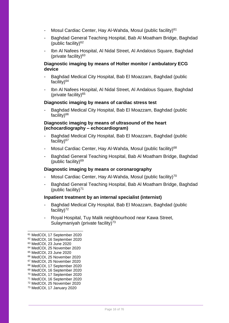- Mosul Cardiac Center, Hay Al-Wahda, Mosul (public facility)<sup>61</sup>
- Baghdad General Teaching Hospital, Bab Al Moatham Bridge, Baghdad (public facility) $62$
- Ibn Al Nafees Hospital, Al Nidal Street, Al Andalous Square, Baghdad (private facility)<sup>63</sup>

## **Diagnostic imaging by means of Holter monitor / ambulatory ECG device**

- Baghdad Medical City Hospital, Bab El Moazzam, Baghdad (public facility) $64$
- Ibn Al Nafees Hospital, Al Nidal Street, Al Andalous Square, Baghdad (private facility)<sup>65</sup>

## **Diagnostic imaging by means of cardiac stress test**

Baghdad Medical City Hospital, Bab El Moazzam, Baghdad (public facility) $66$ 

## **Diagnostic imaging by means of ultrasound of the heart (echocardiography – echocardiogram)**

- Baghdad Medical City Hospital, Bab El Moazzam, Baghdad (public facility)<sup>67</sup>
- Mosul Cardiac Center, Hay Al-Wahda, Mosul (public facility)<sup>68</sup>
- Baghdad General Teaching Hospital, Bab Al Moatham Bridge, Baghdad (public facility)<sup>69</sup>

#### **Diagnostic imaging by means or coronarography**

- Mosul Cardiac Center, Hay Al-Wahda, Mosul (public facility)<sup>70</sup>
- Baghdad General Teaching Hospital, Bab Al Moatham Bridge, Baghdad (public facility) $71$

#### **Inpatient treatment by an internal specialist (internist)**

- Baghdad Medical City Hospital, Bab El Moazzam, Baghdad (public facility)<sup>72</sup>
- Royal Hospital, Tuy Malik neighbourhood near Kawa Street, Sulaymaniyah (private facility)<sup>73</sup>

- <sup>65</sup> MedCOI, 23 June 2020
- <sup>66</sup> MedCOI, 25 November 2020
- <sup>67</sup> MedCOI, 25 November 2020
- <sup>68</sup> MedCOI, 17 September 2020
- <sup>69</sup> MedCOI, 16 September 2020
- <sup>70</sup> MedCOI, 17 September 2020
- <sup>71</sup> MedCOI, 16 September 2020
- <sup>72</sup> MedCOI, 25 November 2020 <sup>73</sup> MedCOI, 17 January 2020

<sup>61</sup> MedCOI, 17 September 2020 <sup>62</sup> MedCOI, 16 September 2020 <sup>63</sup> MedCOI, 23 June 2020

<sup>64</sup> MedCOI, 25 November 2020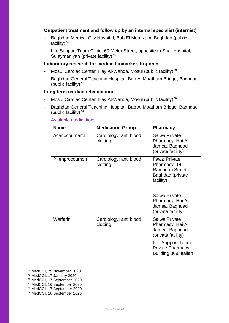## **Outpatient treatment and follow up by an internal specialist (internist)**

- Baghdad Medical City Hospital, Bab El Moazzam, Baghdad (public facility) $74$
- Life Support Team Clinic, 60 Meter Street, opposite to Shar Hospital, Sulaymaniyah (private facility)<sup>75</sup>

## **Laboratory research for cardiac biomarker, troponin**

- Mosul Cardiac Center, Hay Al-Wahda, Mosul (public facility)<sup>76</sup>
- Baghdad General Teaching Hospital, Bab Al Moatham Bridge, Baghdad (public facility) $77$

#### **Long-term cardiac rehabilitation**

- Mosul Cardiac Center, Hay Al-Wahda, Mosul (public facility)<sup>78</sup>
- Baghdad General Teaching Hospital, Bab Al Moatham Bridge, Baghdad (public facility)<sup>79</sup>

| <b>Name</b>   | <b>Medication Group</b>            | <b>Pharmacy</b>                                                                                           |
|---------------|------------------------------------|-----------------------------------------------------------------------------------------------------------|
| Acenocoumarol | Cardiology: anti blood<br>clotting | Salwa Private<br>Pharmacy, Hai Al<br>Jamea, Baghdad<br>(private facility)                                 |
| Phenprocoumon | Cardiology: anti blood<br>clotting | <b>Fawzi Private</b><br>Pharmacy, 14<br>Ramadan Street,<br>Baghdad (private<br>facility)<br>Salwa Private |
|               |                                    | Pharmacy, Hai Al<br>Jamea, Baghdad<br>(private facility)                                                  |
| Warfarin      | Cardiology: anti blood<br>clotting | <b>Salwa Private</b><br>Pharmacy, Hai Al<br>Jamea, Baghdad<br>(private facility)                          |
|               |                                    | Life Support Team<br>Private Pharmacy,<br>Building 809, Italian                                           |

## Available medications:

<sup>74</sup> MedCOI, 25 November 2020

<sup>75</sup> MedCOI, 17 January 2020

<sup>76</sup> MedCOI, 17 September 2020

<sup>77</sup> MedCOI, 16 September 2020

<sup>78</sup> MedCOI, 17 September 2020

<sup>79</sup> MedCOI, 16 September 2020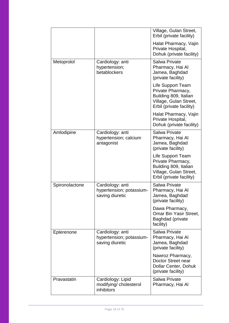|                |                                                                 | Village, Gulan Street,<br>Erbil (private facility)                                                                    |
|----------------|-----------------------------------------------------------------|-----------------------------------------------------------------------------------------------------------------------|
|                |                                                                 | Halat Pharmacy, Vajin<br>Private Hospital,<br>Dohuk (private facility)                                                |
| Metoprolol     | Cardiology: anti<br>hypertension;<br>betablockers               | <b>Salwa Private</b><br>Pharmacy, Hai Al<br>Jamea, Baghdad<br>(private facility)                                      |
|                |                                                                 | Life Support Team<br>Private Pharmacy,<br>Building 809, Italian<br>Village, Gulan Street,<br>Erbil (private facility) |
|                |                                                                 | Halat Pharmacy, Vajin<br>Private Hospital,<br>Dohuk (private facility)                                                |
| Amlodipine     | Cardiology: anti<br>hypertension; calcium<br>antagonist         | Salwa Private<br>Pharmacy, Hai Al<br>Jamea, Baghdad<br>(private facility)                                             |
|                |                                                                 | Life Support Team<br>Private Pharmacy,<br>Building 809, Italian<br>Village, Gulan Street,<br>Erbil (private facility) |
| Spironolactone | Cardiology: anti<br>hypertension; potassium-<br>saving diuretic | Salwa Private<br>Pharmacy, Hai Al<br>Jamea, Baghdad<br>(private facility)                                             |
|                |                                                                 | Dawa Pharmacy,<br>Omar Bin Yasir Street,<br>Baghdad (private<br>facility)                                             |
| Eplerenone     | Cardiology: anti<br>hypertension; potassium-<br>saving diuretic | Salwa Private<br>Pharmacy, Hai Al<br>Jamea, Baghdad<br>(private facility)                                             |
|                |                                                                 | Nawroz Pharmacy,<br>Doctor Street near<br>Dollar Center, Dohuk<br>(private facility)                                  |
| Pravastatin    | Cardiology: Lipid<br>modifying/ cholesterol<br>inhibitors       | Salwa Private<br>Pharmacy, Hai Al                                                                                     |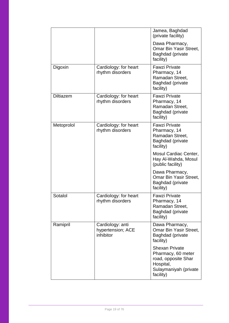|                  |                                                    | Jamea, Baghdad<br>(private facility)                                                                                  |
|------------------|----------------------------------------------------|-----------------------------------------------------------------------------------------------------------------------|
|                  |                                                    | Dawa Pharmacy,<br><b>Omar Bin Yasir Street,</b><br><b>Baghdad (private</b><br>facility)                               |
| Digoxin          | Cardiology: for heart<br>rhythm disorders          | <b>Fawzi Private</b><br>Pharmacy, 14<br>Ramadan Street,<br>Baghdad (private<br>facility)                              |
| <b>Diltiazem</b> | Cardiology: for heart<br>rhythm disorders          | <b>Fawzi Private</b><br>Pharmacy, 14<br>Ramadan Street,<br><b>Baghdad (private</b><br>facility)                       |
| Metoprolol       | Cardiology: for heart<br>rhythm disorders          | <b>Fawzi Private</b><br>Pharmacy, 14<br>Ramadan Street,<br>Baghdad (private<br>facility)                              |
|                  |                                                    | Mosul Cardiac Center,<br>Hay Al-Wahda, Mosul<br>(public facility)                                                     |
|                  |                                                    | Dawa Pharmacy,<br><b>Omar Bin Yasir Street,</b><br>Baghdad (private<br>facility)                                      |
| Sotalol          | Cardiology: for heart<br>rhythm disorders          | <b>Fawzi Private</b><br>Pharmacy, 14<br>Ramadan Street,<br><b>Baghdad (private</b><br>facility)                       |
| Ramipril         | Cardiology: anti<br>hypertension; ACE<br>inhibitor | Dawa Pharmacy,<br>Omar Bin Yasir Street,<br>Baghdad (private<br>facility)                                             |
|                  |                                                    | <b>Shexan Private</b><br>Pharmacy, 60 meter<br>road, opposite Shar<br>Hospital,<br>Sulaymaniyah (private<br>facility) |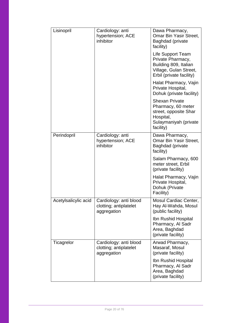| Lisinopril           | Cardiology: anti<br>hypertension; ACE<br>inhibitor              | Dawa Pharmacy,<br>Omar Bin Yasir Street,<br>Baghdad (private<br>facility)                                               |
|----------------------|-----------------------------------------------------------------|-------------------------------------------------------------------------------------------------------------------------|
|                      |                                                                 | Life Support Team<br>Private Pharmacy,<br>Building 809, Italian<br>Village, Gulan Street,<br>Erbil (private facility)   |
|                      |                                                                 | Halat Pharmacy, Vajin<br>Private Hospital,<br>Dohuk (private facility)                                                  |
|                      |                                                                 | <b>Shexan Private</b><br>Pharmacy, 60 meter<br>street, opposite Shar<br>Hospital,<br>Sulaymaniyah (private<br>facility) |
| Perindopril          | Cardiology: anti<br>hypertension; ACE<br>inhibitor              | Dawa Pharmacy,<br><b>Omar Bin Yasir Street,</b><br>Baghdad (private<br>facility)                                        |
|                      |                                                                 | Salam Pharmacy, 600<br>meter street, Erbil<br>(private facility)                                                        |
|                      |                                                                 | Halat Pharmacy, Vajin<br>Private Hospital,<br>Dohuk (Private<br>Facility)                                               |
| Acetylsalicylic acid | Cardiology: anti blood<br>clotting; antiplatelet<br>aggregation | Mosul Cardiac Center,<br>Hay Al-Wahda, Mosul<br>(public facility)                                                       |
|                      |                                                                 | Ibn Rushid Hospital<br>Pharmacy, Al Sadr<br>Area, Baghdad<br>(private facility)                                         |
| Ticagrelor           | Cardiology: anti blood<br>clotting; antiplatelet<br>aggregation | Arwad Pharmacy,<br>Masaraf, Mosul<br>(private facility)                                                                 |
|                      |                                                                 | Ibn Rushid Hospital<br>Pharmacy, Al Sadr<br>Area, Baghdad<br>(private facility)                                         |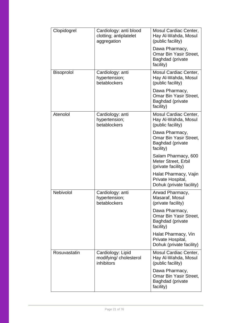| Clopidogrel       | Cardiology: anti blood<br>clotting; antiplatelet<br>aggregation | Mosul Cardiac Center,<br>Hay Al-Wahda, Mosul<br>(public facility)                |
|-------------------|-----------------------------------------------------------------|----------------------------------------------------------------------------------|
|                   |                                                                 | Dawa Pharmacy,<br>Omar Bin Yasir Street,<br><b>Baghdad</b> (private<br>facility) |
| <b>Bisoprolol</b> | Cardiology: anti<br>hypertension;<br>betablockers               | Mosul Cardiac Center,<br>Hay Al-Wahda, Mosul<br>(public facility)                |
|                   |                                                                 | Dawa Pharmacy,<br>Omar Bin Yasir Street,<br>Baghdad (private<br>facility)        |
| Atenolol          | Cardiology: anti<br>hypertension;<br>betablockers               | Mosul Cardiac Center,<br>Hay Al-Wahda, Mosul<br>(public facility)                |
|                   |                                                                 | Dawa Pharmacy,<br>Omar Bin Yasir Street,<br>Baghdad (private<br>facility)        |
|                   |                                                                 | Salam Pharmacy, 600<br>Meter Street, Erbil<br>(private facility)                 |
|                   |                                                                 | Halat Pharmacy, Vajin<br>Private Hospital,<br>Dohuk (private facility)           |
| Nebivolol         | Cardiology: anti<br>hypertension;<br>betablockers               | Arwad Pharmacy,<br>Masaraf, Mosul<br>(private facility)                          |
|                   |                                                                 | Dawa Pharmacy,<br>Omar Bin Yasir Street,<br>Baghdad (private<br>facility)        |
|                   |                                                                 | Halat Pharmacy, Vin<br>Private Hospital,<br>Dohuk (private facility)             |
| Rosuvastatin      | Cardiology: Lipid<br>modifying/cholesterol<br>inhibitors        | Mosul Cardiac Center,<br>Hay Al-Wahda, Mosul<br>(public facility)                |
|                   |                                                                 | Dawa Pharmacy,<br>Omar Bin Yasir Street,<br>Baghdad (private<br>facility)        |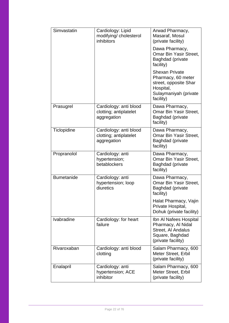| Simvastatin       | Cardiology: Lipid<br>modifying/cholesterol<br>inhibitors        | Arwad Pharmacy,<br>Masaraf, Mosul<br>(private facility)                                                                 |
|-------------------|-----------------------------------------------------------------|-------------------------------------------------------------------------------------------------------------------------|
|                   |                                                                 | Dawa Pharmacy,<br>Omar Bin Yasir Street,<br><b>Baghdad</b> (private<br>facility)                                        |
|                   |                                                                 | <b>Shexan Private</b><br>Pharmacy, 60 meter<br>street, opposite Shar<br>Hospital,<br>Sulaymaniyah (private<br>facility) |
| Prasugrel         | Cardiology: anti blood<br>clotting; antiplatelet<br>aggregation | Dawa Pharmacy,<br><b>Omar Bin Yasir Street,</b><br>Baghdad (private<br>facility)                                        |
| Ticlopidine       | Cardiology: anti blood<br>clotting; antiplatelet<br>aggregation | Dawa Pharmacy,<br>Omar Bin Yasir Street,<br>Baghdad (private<br>facility)                                               |
| Propranolol       | Cardiology: anti<br>hypertension;<br>betablockers               | Dawa Pharmacy,<br>Omar Bin Yasir Street,<br>Baghdad (private<br>facility)                                               |
| <b>Bumetanide</b> | Cardiology: anti<br>hypertension; loop<br>diuretics             | Dawa Pharmacy,<br><b>Omar Bin Yasir Street,</b><br>Baghdad (private<br>facility)                                        |
|                   |                                                                 | Halat Pharmacy, Vajin<br>Private Hospital,<br>Dohuk (private facility)                                                  |
| Ivabradine        | Cardiology: for heart<br>failure                                | Ibn Al Nafees Hospital<br>Pharmacy, Al Nidal<br>Street, Al Andalus<br>Square, Baghdad<br>(private facility)             |
| Rivaroxaban       | Cardiology: anti blood<br>clotting                              | Salam Pharmacy, 600<br>Meter Street, Erbil<br>(private facility)                                                        |
| Enalapril         | Cardiology: anti<br>hypertension; ACE<br>inhibitor              | Salam Pharmacy, 600<br>Meter Street, Erbil<br>(private facility)                                                        |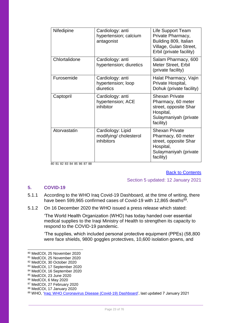| Nifedipine    | Cardiology: anti<br>hypertension; calcium<br>antagonist   | Life Support Team<br>Private Pharmacy,<br>Building 809, Italian<br>Village, Gulan Street,<br>Erbil (private facility)   |
|---------------|-----------------------------------------------------------|-------------------------------------------------------------------------------------------------------------------------|
| Chlortalidone | Cardiology: anti<br>hypertension; diuretics               | Salam Pharmacy, 600<br>Meter Street, Erbil<br>(private facility)                                                        |
| Furosemide    | Cardiology: anti<br>hypertension; loop<br>diuretics       | Halat Pharmacy, Vajin<br>Private Hospital,<br>Dohuk (private facility)                                                  |
| Captopril     | Cardiology: anti<br>hypertension; ACE<br>inhibitor        | <b>Shexan Private</b><br>Pharmacy, 60 meter<br>street, opposite Shar<br>Hospital,<br>Sulaymaniyah (private<br>facility) |
| Atorvastatin  | Cardiology: Lipid<br>modifying/ cholesterol<br>inhibitors | <b>Shexan Private</b><br>Pharmacy, 60 meter<br>street, opposite Shar<br>Hospital,<br>Sulaymaniyah (private<br>facility) |

80 81 82 83 84 85 86 87 88

#### [Back to Contents](#page-2-0)

Section 5 updated: 12 January 2021

## <span id="page-22-0"></span>**5. COVID-19**

- 5.1.1 According to the WHO Iraq Covid-19 Dashboard, at the time of writing, there have been 599,965 confirmed cases of Covid-19 with 12,865 deaths<sup>89</sup>.
- 5.1.2 On 16 December 2020 the WHO issued a press release which stated:

'The World Health Organization (WHO) has today handed over essential medical supplies to the Iraqi Ministry of Health to strengthen its capacity to respond to the COVID-19 pandemic.

'The supplies, which included personal protective equipment (PPEs) (58,800 were face shields, 9800 goggles protectives, 10,600 isolation gowns, and

<sup>80</sup> MedCOI, 25 November 2020

<sup>81</sup> MedCOI, 25 November 2020

<sup>82</sup> MedCOI, 30 October 2020

<sup>83</sup> MedCOI, 17 September 2020

<sup>84</sup> MedCOI, 16 September 2020

<sup>85</sup> MedCOI, 23 June 2020

<sup>86</sup> MedCOI, 6 May 2020

<sup>87</sup> MedCOI, 27 February 2020

<sup>88</sup> MedCOI, 17 January 2020

<sup>89</sup> WHO, ['Iraq: WHO Coronavirus Disease \(Covid-19\) Dashboard'](https://covid19.who.int/region/emro/country/iq), last updated 7 January 2021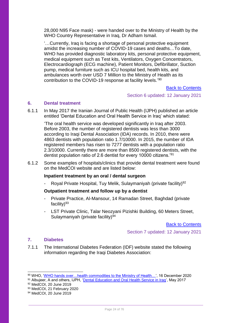28,000 N95 Face mask) - were handed over to the Ministry of Health by the WHO Country Representative in Iraq, Dr Adham Ismail.

'…Currently, Iraq is facing a shortage of personal protective equipment amidst the increasing number of COVID-19 cases and deaths…To date, WHO has provided diagnostic laboratory kits, personal protective equipment, medical equipment such as Test kits, Ventilators, Oxygen Concentrators, Electrocardiograph (ECG machine), Patient Monitors, Defibrillator, Suction pump, medical furniture such as ICU hospital bed, health kits, and ambulances worth over USD 7 Million to the Ministry of Health as its contribution to the COVID-19 response at facility levels.'90

## [Back to Contents](#page-2-0)

Section 6 updated: 12 January 2021

## <span id="page-23-0"></span>**6. Dental treatment**

6.1.1 In May 2017 the Iranian Journal of Public Health (IJPH) published an article entitled 'Dental Education and Oral Health Service in Iraq' which stated:

'The oral health service was developed significantly in Iraq after 2003. Before 2003, the number of registered dentists was less than 3000 according to Iraqi Dental Association (IDA) records. In 2010, there were 4863 dentists with population ratio 1.7/10000. In 2015, the number of IDA registered members has risen to 7277 dentists with a population ratio 2.3/10000. Currently there are more than 8500 registered dentists, with the dentist population ratio of 2.6 dentist for every 10000 citizens.'<sup>91</sup>

6.1.2 Some examples of hospitals/clinics that provide dental treatment were found on the MedCOI website and are listed below:

## **Inpatient treatment by an oral / dental surgeon**

Royal Private Hospital, Tuy Melik, Sulaymaniyah (private facility)<sup>92</sup>

## **Outpatient treatment and follow up by a dentist**

- Private Practice, Al-Mansour, 14 Ramadan Street, Baghdad (private facility) $93$
- LST Private Clinic, Talar Neozyani Pizishki Building, 60 Meters Street, Sulaymaniyah (private facility)<sup>94</sup>

[Back to Contents](#page-2-0)

Section 7 updated: 12 January 2021

## <span id="page-23-1"></span>**7. Diabetes**

 $\overline{a}$ 

7.1.1 The International Diabetes Federation (IDF) website stated the following information regarding the Iraqi Diabetes Association:

<sup>90</sup> WHO, 'WHO hands over...health commodities to the Ministry of Health...', 16 December 2020

<sup>91</sup> Albujeer, A and others, IJPH, ['Dental Education and Oral Health Service in Iraq',](https://www.ncbi.nlm.nih.gov/pmc/articles/PMC5442288/) May 2017

<sup>92</sup> MedCOI, 20 June 2019

<sup>93</sup> MedCOI, 21 February 2020

<sup>94</sup> MedCOI, 20 June 2019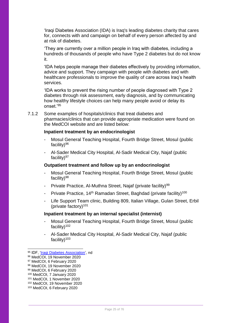'Iraqi Diabetes Association (IDA) is Iraq's leading diabetes charity that cares for, connects with and campaign on behalf of every person affected by and at risk of diabetes.

'They are currently over a million people in Iraq with diabetes, including a hundreds of thousands of people who have Type 2 diabetes but do not know it.

'IDA helps people manage their diabetes effectively by providing information, advice and support. They campaign with people with diabetes and with healthcare professionals to improve the quality of care across Iraq's health services.

'IDA works to prevent the rising number of people diagnosed with Type 2 diabetes through risk assessment, early diagnosis, and by communicating how healthy lifestyle choices can help many people avoid or delay its onset.'<sup>95</sup>

7.1.2 Some examples of hospitals/clinics that treat diabetes and pharmacies/clinics that can provide appropriate medication were found on the MedCOI website and are listed below:

#### **Inpatient treatment by an endocrinologist**

- Mosul General Teaching Hospital, Fourth Bridge Street, Mosul (public facility)<sup>96</sup>
- Al-Sader Medical City Hospital, Al-Sadir Medical City, Najaf (public facility) $97$

## **Outpatient treatment and follow up by an endocrinologist**

- Mosul General Teaching Hospital, Fourth Bridge Street, Mosul (public facility) $98$
- Private Practice, Al-Muthna Street, Najaf (private facility)<sup>99</sup>
- Private Practice, 14<sup>th</sup> Ramadan Street, Baghdad (private facility)<sup>100</sup>
- Life Support Team clinic, Building 809, Italian Village, Gulan Street, Erbil (private factory)<sup>101</sup>

#### **Inpatient treatment by an internal specialist (internist)**

- Mosul General Teaching Hospital, Fourth Bridge Street, Mosul (public facility) $102$
- Al-Sader Medical City Hospital, Al-Sadir Medical City, Najaf (public facility) $103$

<sup>95</sup> IDF, ['Iraqi Diabetes Association',](https://www.idf.org/our-network/regions-members/middle-east-and-north-africa/members/36-iraq.html?layout=details&mid=107) nd

<sup>96</sup> MedCOI, 19 November 2020

<sup>97</sup> MedCOI, 6 February 2020

<sup>98</sup> MedCOI, 19 November 2020

<sup>99</sup> MedCOI, 6 February 2020

<sup>100</sup> MedCOI, 7 January 2020

<sup>101</sup> MedCOI, 1 November 2020

<sup>102</sup> MedCOI, 19 November 2020

<sup>103</sup> MedCOI, 6 February 2020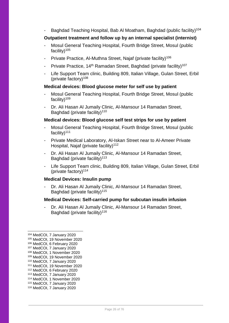Baghdad Teaching Hospital, Bab Al Moatham, Baghdad (public facility)<sup>104</sup>

## **Outpatient treatment and follow up by an internal specialist (internist)**

- Mosul General Teaching Hospital, Fourth Bridge Street, Mosul (public facility) $105$
- Private Practice, Al-Muthna Street, Najaf (private facility)<sup>106</sup>
- Private Practice, 14<sup>th</sup> Ramadan Street, Baghdad (private facility)<sup>107</sup>
- Life Support Team clinic, Building 809, Italian Village, Gulan Street, Erbil (private factory) $108$

## **Medical devices: Blood glucose meter for self use by patient**

- Mosul General Teaching Hospital, Fourth Bridge Street, Mosul (public facility)<sup>109</sup>
- Dr. Ali Hasan Al Jumaily Clinic, Al-Mansour 14 Ramadan Street, Baghdad (private facility)<sup>110</sup>

## **Medical devices: Blood glucose self test strips for use by patient**

- Mosul General Teaching Hospital, Fourth Bridge Street, Mosul (public facility) $111$
- Private Medical Laboratory, Al-Iskan Street near to Al-Ameer Private Hospital, Najaf (private facility)<sup>112</sup>
- Dr. Ali Hasan Al Jumaily Clinic, Al-Mansour 14 Ramadan Street, Baghdad (private facility)<sup>113</sup>
- Life Support Team clinic, Building 809, Italian Village, Gulan Street, Erbil (private factory) $114$

#### **Medical Devices: Insulin pump**

Dr. Ali Hasan Al Jumaily Clinic, Al-Mansour 14 Ramadan Street, Baghdad (private facility)<sup>115</sup>

#### **Medical Devices: Self-carried pump for subcutan insulin infusion**

- Dr. Ali Hasan Al Jumaily Clinic, Al-Mansour 14 Ramadan Street, Baghdad (private facility)<sup>116</sup>

<sup>104</sup> MedCOI, 7 January 2020

<sup>105</sup> MedCOI, 19 November 2020

<sup>106</sup> MedCOI, 6 February 2020

<sup>107</sup> MedCOI, 7 January 2020

<sup>108</sup> MedCOI, 1 November 2020 <sup>109</sup> MedCOI, 19 November 2020

<sup>110</sup> MedCOI, 7 January 2020

<sup>111</sup> MedCOI, 19 November 2020

<sup>112</sup> MedCOI, 6 February 2020

<sup>113</sup> MedCOI, 7 January 2020

<sup>114</sup> MedCOI, 1 November 2020

<sup>115</sup> MedCOI, 7 January 2020

<sup>116</sup> MedCOI, 7 January 2020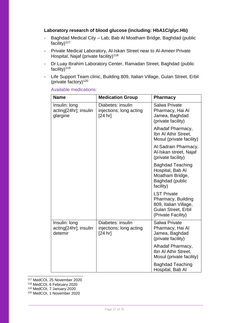## **Laboratory research of blood glucose (including: HbA1C/glyc.Hb)**

- Baghdad Medical City Lab, Bab Al Moatham Bridge, Baghdad (public facility) $117$
- Private Medical Laboratory, Al-Iskan Street near to Al-Ameer Private Hospital, Najaf (private facility)<sup>118</sup>
- Dr.Luay Ibrahim Laboratory Center, Ramadan Street, Baghdad (public facility) $119$
- Life Support Team clinic, Building 809, Italian Village, Gulan Street, Erbil (private factory) $120$

| <b>Name</b>                                        | <b>Medication Group</b>                                 | <b>Pharmacy</b>                                                                                                |
|----------------------------------------------------|---------------------------------------------------------|----------------------------------------------------------------------------------------------------------------|
| Insulin: long<br>acting[24hr]; insulin<br>glargine | Diabetes: insulin<br>injections; long acting<br>[24 hr] | <b>Salwa Private</b><br>Pharmacy, Hai Al<br>Jamea, Baghdad<br>(private facility)                               |
|                                                    |                                                         | Alhadaf Pharmacy,<br>Ibn AI Athir Street,<br>Mosul (private facility)                                          |
|                                                    |                                                         | Al-Sadrain Pharmacy,<br>Al-Iskan street, Najaf<br>(private facility)                                           |
|                                                    |                                                         | <b>Baghdad Teaching</b><br>Hospital, Bab Al<br>Moatham Bridge,<br>Baghdad (public<br>facility)                 |
|                                                    |                                                         | <b>LST Private</b><br>Pharmacy, Building<br>809, Italian Village,<br>Gulan Street, Erbil<br>(Private Facility) |
| Insulin: long<br>acting[24hr]; insulin<br>detemir  | Diabetes: insulin<br>injections; long acting<br>[24 hr] | <b>Salwa Private</b><br>Pharmacy, Hai Al<br>Jamea, Baghdad<br>(private facility)                               |
|                                                    |                                                         | Alhadaf Pharmacy,<br>Ibn Al Athir Street,<br>Mosul (private facility)                                          |
|                                                    |                                                         | <b>Baghdad Teaching</b><br>Hospital, Bab Al                                                                    |

Available medications:

<sup>117</sup> MedCOI, 25 November 2020

<sup>118</sup> MedCOI, 6 February 2020

-

<sup>119</sup> MedCOI, 7 January 2020

<sup>120</sup> MedCOI, 1 November 2020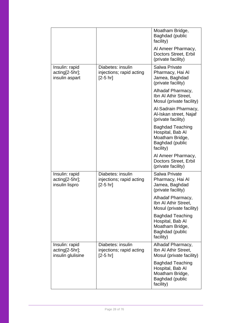|                                                       |                                                             | Moatham Bridge,<br>Baghdad (public<br>facility)                                                       |
|-------------------------------------------------------|-------------------------------------------------------------|-------------------------------------------------------------------------------------------------------|
|                                                       |                                                             | Al Ameer Pharmacy,<br>Doctors Street, Erbil<br>(private facility)                                     |
| Insulin: rapid<br>acting[2-5hr];<br>insulin aspart    | Diabetes: insulin<br>injections; rapid acting<br>$[2-5 hr]$ | Salwa Private<br>Pharmacy, Hai Al<br>Jamea, Baghdad<br>(private facility)                             |
|                                                       |                                                             | Alhadaf Pharmacy,<br>Ibn Al Athir Street,<br>Mosul (private facility)                                 |
|                                                       |                                                             | Al-Sadrain Pharmacy,<br>Al-Iskan street, Najaf<br>(private facility)                                  |
|                                                       |                                                             | <b>Baghdad Teaching</b><br>Hospital, Bab Al<br>Moatham Bridge,<br>Baghdad (public<br>facility)        |
|                                                       |                                                             | Al Ameer Pharmacy,<br>Doctors Street, Erbil<br>(private facility)                                     |
| Insulin: rapid<br>acting[2-5hr];<br>insulin lispro    | Diabetes: insulin<br>injections; rapid acting<br>$[2-5 hr]$ | <b>Salwa Private</b><br>Pharmacy, Hai Al<br>Jamea, Baghdad<br>(private facility)                      |
|                                                       |                                                             | Alhadaf Pharmacy,<br>Ibn Al Athir Street,<br>Mosul (private facility)                                 |
|                                                       |                                                             | <b>Baghdad Teaching</b><br>Hospital, Bab Al<br>Moatham Bridge,<br>Baghdad (public<br>facility)        |
| Insulin: rapid<br>acting[2-5hr];<br>insulin glulisine | Diabetes: insulin<br>injections; rapid acting<br>$[2-5 hr]$ | Alhadaf Pharmacy,<br>Ibn Al Athir Street,<br>Mosul (private facility)                                 |
|                                                       |                                                             | <b>Baghdad Teaching</b><br>Hospital, Bab Al<br>Moatham Bridge,<br><b>Baghdad</b> (public<br>facility) |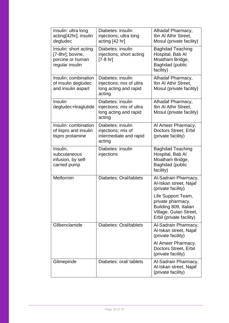| Insulin: ultra long<br>acting[42hr]; insulin<br>degludec                         | Diabetes: insulin<br>injections; ultra long<br>acting [42 hr]                    | Alhadaf Pharmacy,<br>Ibn Al Athir Street,<br>Mosul (private facility)                                                  |
|----------------------------------------------------------------------------------|----------------------------------------------------------------------------------|------------------------------------------------------------------------------------------------------------------------|
| Insulin: short acting<br>[7-8hr]; bovine,<br>porcine or human<br>regular insulin | Diabetes: insulin<br>injections; short acting<br>[7-8 hr]                        | <b>Baghdad Teaching</b><br>Hospital, Bab Al<br>Moatham Bridge,<br>Baghdad (public<br>facility)                         |
| Insulin; combination<br>of Insulin degludec<br>and insulin aspart                | Diabetes: insulin<br>injections; mix of ultra<br>long acting and rapid<br>acting | Alhadaf Pharmacy,<br>Ibn Al Athir Street,<br>Mosul (private facility)                                                  |
| Insulin<br>degludec+liraglutide                                                  | Diabetes: insulin<br>injections; mix of ultra<br>long acting and rapid<br>acting | Alhadaf Pharmacy,<br>Ibn Al Athir Street.<br>Mosul (private facility)                                                  |
| Insulin: combination<br>of lispro and insulin<br>lispro protamine                | Diabetes: insulin<br>injections; mix of<br>intermediate and rapid<br>acting      | Al Ameer Pharmacy,<br><b>Doctors Street, Erbil</b><br>(private facility)                                               |
| Insulin,<br>subcutaneous<br>infusion, by self-<br>carried pump                   | Diabetes: insulin<br>injections                                                  | <b>Baghdad Teaching</b><br>Hospital, Bab Al<br>Moatham Bridge,<br>Baghdad (public<br>facility)                         |
| Metformin                                                                        | Diabetes: Oral/tablets                                                           | Al-Sadrain Pharmacy,<br>Al-Iskan street, Najaf<br>(private facility)                                                   |
|                                                                                  |                                                                                  | Life Support Team,<br>private pharmacy,<br>Building 809, Italian<br>Village, Gulan Street,<br>Erbil (private facility) |
| Glibenclamide                                                                    | Diabetes: Oral/tablets                                                           | Al-Sadrain Pharmacy,<br>Al-Iskan street, Najaf<br>(private facility)                                                   |
|                                                                                  |                                                                                  | Al Ameer Pharmacy,<br>Doctors Street, Erbil<br>(private facility)                                                      |
| Glimepiride                                                                      | Diabetes: oral/ tablets                                                          | Al-Sadrain Pharmacy,<br>Al-Iskan street, Najaf<br>(private facility)                                                   |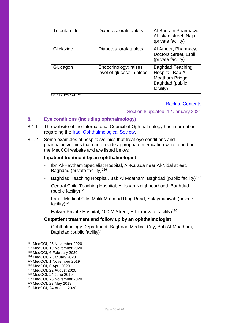| Tolbutamide | Diabetes: oral/ tablets                            | Al-Sadrain Pharmacy,<br>Al-Iskan street, Najaf<br>(private facility)                           |
|-------------|----------------------------------------------------|------------------------------------------------------------------------------------------------|
| Gliclazide  | Diabetes: oral/ tablets                            | Al Ameer, Pharmacy,<br>Doctors Street, Erbil<br>(private facility)                             |
| Glucagon    | Endocrinology: raises<br>level of glucose in blood | <b>Baghdad Teaching</b><br>Hospital, Bab Al<br>Moatham Bridge,<br>Baghdad (public<br>facility) |

121 122 123 124 125

### [Back to Contents](#page-2-0)

## Section 8 updated: 12 January 2021

## <span id="page-29-0"></span>**8. Eye conditions (including ophthalmology)**

- 8.1.1 The website of the International Council of Ophthalmology has information regarding the [Iraqi Ophthalmological Society.](http://www.icoph.org/advancing_leadership/ophthalmologic_societies/society_detail/001A00000085c5hIAA/Iraqi-Ophthalmological-Society.html)
- 8.1.2 Some examples of hospitals/clinics that treat eye conditions and pharmacies/clinics that can provide appropriate medication were found on the MedCOI website and are listed below:

## **Inpatient treatment by an ophthalmologist**

- Ibn Al-Haytham Specialist Hospital, Al-Karada near Al-Nidal street, Baghdad (private facility)<sup>126</sup>
- Baghdad Teaching Hospital, Bab Al Moatham, Baghdad (public facility)<sup>127</sup>
- Central Child Teaching Hospital, Al-Iskan Neighbourhood, Baghdad (public facility) $128$
- Faruk Medical City, Malik Mahmud Ring Road, Sulaymaniyah (private facility $)^{129}$
- Halwer Private Hospital, 100 M.Street, Erbil (private facility)<sup>130</sup>

## **Outpatient treatment and follow up by an ophthalmologist**

- Ophthalmology Department, Baghdad Medical City, Bab Al-Moatham, Baghdad (public facility)<sup>131</sup>

<sup>121</sup> MedCOI, 25 November 2020

<sup>122</sup> MedCOI, 19 November 2020

<sup>123</sup> MedCOI, 6 February 2020

<sup>124</sup> MedCOI, 7 January 2020

<sup>125</sup> MedCOI, 1 November 2019

<sup>126</sup> MedCOI, 6 April 2020

<sup>127</sup> MedCOI, 22 August 2020

<sup>128</sup> MedCOI, 24 June 2019

<sup>129</sup> MedCOI, 25 November 2020

<sup>130</sup> MedCOI, 23 May 2019

<sup>131</sup> MedCOI, 24 August 2020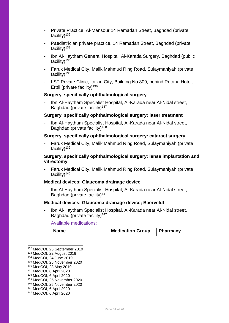- Private Practice, Al-Mansour 14 Ramadan Street, Baghdad (private facility) $132$
- Paediatrician private practice, 14 Ramadan Street, Baghdad (private facility) $133$
- Ibn Al-Haytham General Hospital, Al-Karada Surgery, Baghdad (public facility)<sup>134</sup>
- Faruk Medical City, Malik Mahmud Ring Road, Sulaymaniyah (private facility) $135$
- LST Private Clinic, Italian City, Building No.809, behind Rotana Hotel, Erbil (private facility)<sup>136</sup>

#### **Surgery, specifically ophthalmological surgery**

- Ibn Al-Haytham Specialist Hospital, Al-Karada near Al-Nidal street, Baghdad (private facility)<sup>137</sup>

#### **Surgery, specifically ophthalmological surgery: laser treatment**

- Ibn Al-Haytham Specialist Hospital, Al-Karada near Al-Nidal street, Baghdad (private facility)<sup>138</sup>

#### **Surgery, specifically ophthalmological surgery: cataract surgery**

- Faruk Medical City, Malik Mahmud Ring Road, Sulaymaniyah (private facility) $139$ 

## **Surgery, specifically ophthalmological surgery: lense implantation and vitrectomy**

- Faruk Medical City, Malik Mahmud Ring Road, Sulaymaniyah (private facility)<sup>140</sup>

#### **Medical devices: Glaucoma drainage device**

- Ibn Al-Haytham Specialist Hospital, Al-Karada near Al-Nidal street, Baghdad (private facility)<sup>141</sup>

#### **Medical devices: Glaucoma drainage device; Baerveldt**

- Ibn Al-Haytham Specialist Hospital, Al-Karada near Al-Nidal street, Baghdad (private facility)<sup>142</sup>

Available medications:

| Name | <b>Medication Group</b> | $\vert$ Pharmacy |
|------|-------------------------|------------------|
|------|-------------------------|------------------|

<sup>132</sup> MedCOI, 25 September 2019

 $\overline{a}$ 

- <sup>137</sup> MedCOI, 6 April 2020
- <sup>138</sup> MedCOI, 6 April 2020
- <sup>139</sup> MedCOI, 25 November 2020 <sup>140</sup> MedCOI, 25 November 2020
- <sup>141</sup> MedCOI, 6 April 2020
- <sup>142</sup> MedCOI, 6 April 2020

<sup>133</sup> MedCOI, 22 August 2019

<sup>134</sup> MedCOI, 24 June 2019

<sup>135</sup> MedCOI, 25 November 2020

<sup>136</sup> MedCOI, 23 May 2019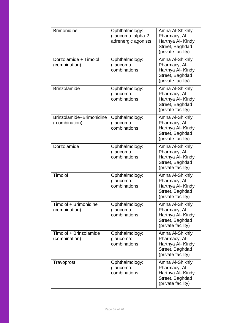| <b>Brimonidine</b>                        | Ophthalmology:<br>glaucoma: alpha-2-<br>adrenergic agonists | Amna Al-Shikhly<br>Pharmacy, Al-<br>Harthya Al- Kindy<br>Street, Baghdad<br>(private facility) |
|-------------------------------------------|-------------------------------------------------------------|------------------------------------------------------------------------------------------------|
| Dorzolamide + Timolol<br>(combination)    | Ophthalmology:<br>glaucoma:<br>combinations                 | Amna Al-Shikhly<br>Pharmacy, Al-<br>Harthya Al- Kindy<br>Street, Baghdad<br>(private facility) |
| <b>Brinzolamide</b>                       | Ophthalmology:<br>glaucoma:<br>combinations                 | Amna Al-Shikhly<br>Pharmacy, Al-<br>Harthya Al- Kindy<br>Street, Baghdad<br>(private facility) |
| Brinzolamide+Brimonidine<br>(combination) | Ophthalmology:<br>glaucoma:<br>combinations                 | Amna Al-Shikhly<br>Pharmacy, Al-<br>Harthya Al- Kindy<br>Street, Baghdad<br>(private facility) |
| Dorzolamide                               | Ophthalmology:<br>glaucoma:<br>combinations                 | Amna Al-Shikhly<br>Pharmacy, Al-<br>Harthya Al- Kindy<br>Street, Baghdad<br>(private facility) |
| Timolol                                   | Ophthalmology:<br>glaucoma:<br>combinations                 | Amna Al-Shikhly<br>Pharmacy, Al-<br>Harthya Al- Kindy<br>Street, Baghdad<br>(private facility) |
| Timolol + Brimonidine<br>(combination)    | Ophthalmology:<br>glaucoma:<br>combinations                 | Amna Al-Shikhly<br>Pharmacy, Al-<br>Harthya Al- Kindy<br>Street, Baghdad<br>(private facility) |
| Timolol + Brinzolamide<br>(combination)   | Ophthalmology:<br>glaucoma:<br>combinations                 | Amna Al-Shikhly<br>Pharmacy, Al-<br>Harthya Al- Kindy<br>Street, Baghdad<br>(private facility) |
| Travoprost                                | Ophthalmology:<br>glaucoma:<br>combinations                 | Amna Al-Shikhly<br>Pharmacy, Al-<br>Harthya Al- Kindy<br>Street, Baghdad<br>(private facility) |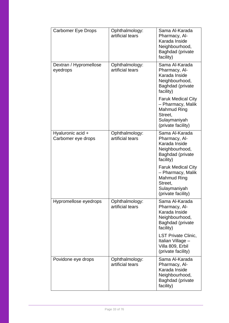| <b>Carbomer Eye Drops</b>               | Ophthalmology:<br>artificial tears | Sama Al-Karada<br>Pharmacy, Al-<br>Karada Inside<br>Neighbourhood,<br>Baghdad (private<br>facility)                   |
|-----------------------------------------|------------------------------------|-----------------------------------------------------------------------------------------------------------------------|
| Dextran / Hypromellose<br>eyedrops      | Ophthalmology:<br>artificial tears | Sama Al-Karada<br>Pharmacy, Al-<br>Karada Inside<br>Neighbourhood,<br>Baghdad (private<br>facility)                   |
|                                         |                                    | <b>Faruk Medical City</b><br>- Pharmacy, Malik<br><b>Mahmud Ring</b><br>Street.<br>Sulaymaniyah<br>(private facility) |
| Hyaluronic acid +<br>Carbomer eye drops | Ophthalmology:<br>artificial tears | Sama Al-Karada<br>Pharmacy, Al-<br>Karada Inside<br>Neighbourhood,<br>Baghdad (private<br>facility)                   |
|                                         |                                    | <b>Faruk Medical City</b><br>- Pharmacy, Malik<br><b>Mahmud Ring</b><br>Street,<br>Sulaymaniyah<br>(private facility) |
| Hypromellose eyedrops                   | Ophthalmology:<br>artificial tears | Sama Al-Karada<br>Pharmacy, Al-<br>Karada Inside<br>Neighbourhood,<br>Baghdad (private<br>facility)                   |
|                                         |                                    | <b>LST Private Clinic,</b><br>Italian Village -<br>Villa 809, Erbil<br>(private facility)                             |
| Povidone eye drops                      | Ophthalmology:<br>artificial tears | Sama Al-Karada<br>Pharmacy, Al-<br>Karada Inside<br>Neighbourhood,<br>Baghdad (private<br>facility)                   |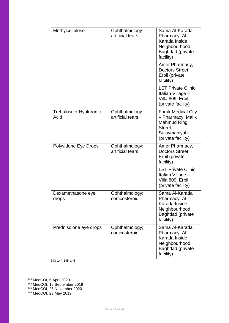| Methylcellulose                | Ophthalmology:<br>artificial tears | Sama Al-Karada<br>Pharmacy, Al-<br>Karada Inside<br>Neighbourhood,<br>Baghdad (private<br>facility)            |
|--------------------------------|------------------------------------|----------------------------------------------------------------------------------------------------------------|
|                                |                                    | Amer Pharmacy,<br>Doctors Street,<br>Erbil (private<br>facility)                                               |
|                                |                                    | <b>LST Private Clinic,</b><br>Italian Village -<br>Villa 809, Erbil<br>(private facility)                      |
| Trehalose + Hyaluronic<br>Acid | Ophthalmology:<br>artificial tears | <b>Faruk Medical City</b><br>- Pharmacy, Malik<br>Mahmud Ring<br>Street.<br>Sulaymaniyah<br>(private facility) |
| Polyvidone Eye Drops           | Ophthalmology:<br>artificial tears | Amer Pharmacy,<br>Doctors Street,<br>Erbil (private<br>facility)                                               |
|                                |                                    | <b>LST Private Clinic,</b><br>Italian Village -<br>Villa 809, Erbil<br>(private facility)                      |
| Dexamethasone eye<br>drops     | Ophthalmology;<br>corticosteroid   | Sama Al-Karada<br>Pharmacy, Al-<br>Karada Inside<br>Neighbourhood,<br>Baghdad (private<br>facility)            |
| Prednisolone eye drops         | Ophthalmology;<br>corticosteroid   | Sama Al-Karada<br>Pharmacy, Al-<br>Karada Inside<br>Neighbourhood,<br>Baghdad (private<br>facility)            |

143 144 145 146

-<sup>143</sup> MedCOI, 6 April 2020

<sup>144</sup> MedCOI, 16 September 2019

<sup>145</sup> MedCOI, 25 November 2020

<sup>146</sup> MedCOI, 23 May 2019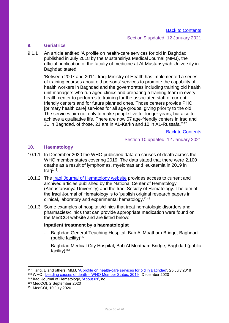## Section 9 updated: 12 January 2021

## <span id="page-34-0"></span>**9. Geriatrics**

9.1.1 An article entitled 'A profile on health-care services for old in Baghdad' published in July 2018 by the Mustansiriya Medical Journal (MMJ), the official publication of the faculty of medicine at Al-Mustansyriah University in Baghdad stated:

'Between 2007 and 2011, Iraqi Ministry of Health has implemented a series of training courses about old persons' services to promote the capability of health workers in Baghdad and the governorates including training old health unit managers who run aged clinics and preparing a training team in every health center to perform site training for the associated staff of current friendly centers and for future planned ones. Those centers provide PHC [primary health care] services for all age groups, giving priority to the old. The services aim not only to make people live for longer years, but also to achieve a qualitative life. There are now 57 age-friendly centers in Iraq and 31 in Baghdad, of those, 21 are in AL-Karkh and 10 in AL-Russafa.'<sup>147</sup>

Back [to Contents](#page-2-0)

Section 10 updated: 12 January 2021

## <span id="page-34-1"></span>**10. Haematology**

- 10.1.1 In December 2020 the WHO published data on causes of death across the WHO member states covering 2019. The data stated that there were 2,100 deaths as a result of lymphomas, myelomas and leukaemia in 2019 in Iraq<sup>148</sup> .
- 10.1.2 The [Iraqi Journal of Hematology website](https://www.ijhonline.org/) provides access to current and archived articles published by the National Center of Hematology (Almustansiriya University) and the Iraqi Society of Hematology. The aim of the Iraqi Journal of Hematology is to 'publish original research papers in clinical, laboratory and experimental hematology.' 149
- 10.1.3 Some examples of hospitals/clinics that treat hematologic disorders and pharmacies/clinics that can provide appropriate medication were found on the MedCOI website and are listed below:

## **Inpatient treatment by a haematologist**

- Baghdad General Teaching Hospital, Bab Al Moatham Bridge, Baghdad (public facility)<sup>150</sup>
- Baghdad Medical City Hospital, Bab Al Moatham Bridge, Baghdad (public facility)<sup>151</sup>

<sup>147</sup> Tariq, E and others, MMJ, ['A profile on health-care services for old in Baghdad',](https://www.mmjonweb.org/article.asp?issn=2070-1128;year=2018;volume=17;issue=1;spage=52;epage=56;aulast=Tariq) 25 July 2018 <sup>148</sup> WHO, 'Leading causes of death – [WHO Member States, 2019',](https://www.who.int/data/gho/data/themes/mortality-and-global-health-estimates/ghe-leading-causes-of-death) December 2020

<sup>149</sup> Iraqi Journal of Hematology, ['About us'](https://www.ijhonline.org/aboutus.asp), nd <sup>150</sup> MedCOI, 2 September 2020

<sup>151</sup> MedCOI, 10 July 2020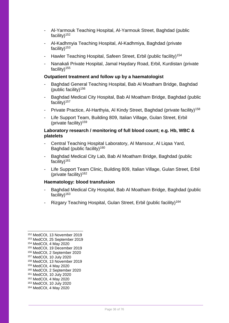- Al-Yarmouk Teaching Hospital, Al-Yarmouk Street, Baghdad (public facility) $152$
- Al-Kadhmyia Teaching Hospital, Al-Kadhmiya, Baghdad (private facility) $153$
- Hawler Teaching Hospital, Safeen Street, Erbil (public facility)<sup>154</sup>
- Nanakali Private Hospital, Jamal Haydary Road, Erbil, Kurdistan (private facility) $155$

## **Outpatient treatment and follow up by a haematologist**

- Baghdad General Teaching Hospital, Bab Al Moatham Bridge, Baghdad (public facility) $156$
- Baghdad Medical City Hospital, Bab Al Moatham Bridge, Baghdad (public facility)<sup>157</sup>
- Private Practice, Al-Harthyia, Al Kindy Street, Baghdad (private facility)<sup>158</sup>
- Life Support Team, Building 809, Italian Village, Gulan Street, Erbil (private facility) $159$

## **Laboratory research / monitoring of full blood count; e.g. Hb, WBC & platelets**

- Central Teaching Hospital Laboratory, Al Mansour, Al Liqaa Yard, Baghdad (public facility)<sup>160</sup>
- Baghdad Medical City Lab, Bab Al Moatham Bridge, Baghdad (public facility) $161$
- Life Support Team Clinic, Building 809, Italian Village, Gulan Street, Erbil (private facility)<sup>162</sup>

## **Haematology: blood transfusion**

- Baghdad Medical City Hospital, Bab Al Moatham Bridge, Baghdad (public facility) $163$
- Rizgary Teaching Hospital, Gulan Street, Erbil (public facility)<sup>164</sup>

<sup>154</sup> MedCOI, 4 May 2020

- <sup>155</sup> MedCOI, 19 December 2019 <sup>156</sup> MedCOI, 2 September 2020
- <sup>157</sup> MedCOI, 10 July 2020
- <sup>158</sup> MedCOI, 13 November 2019
- <sup>159</sup> MedCOI, 4 May 2020
- <sup>160</sup> MedCOI, 2 September 2020
- <sup>161</sup> MedCOI, 10 July 2020
- <sup>162</sup> MedCOI, 4 May 2020
- <sup>163</sup> MedCOI, 10 July 2020
- <sup>164</sup> MedCOI, 4 May 2020

<sup>152</sup> MedCOI, 13 November 2019

<sup>153</sup> MedCOI, 25 September 2019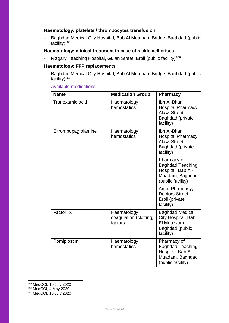# **Haematology: platelets / thrombocytes transfusion**

Baghdad Medical City Hospital, Bab Al Moatham Bridge, Baghdad (public facility)<sup>165</sup>

# **Haematology: clinical treatment in case of sickle cell crises**

- Rizgary Teaching Hospital, Gulan Street, Erbil (public facility)<sup>166</sup>

# **Haematology: FFP replacements**

Baghdad Medical City Hospital, Bab Al Moatham Bridge, Baghdad (public facility) $167$ 

## Available medications:

| <b>Name</b>         | <b>Medication Group</b>                           | <b>Pharmacy</b>                                                                                     |
|---------------------|---------------------------------------------------|-----------------------------------------------------------------------------------------------------|
| Tranexamic acid     | Haematology:<br>hemostatics                       | Ibn Al-Bitar<br>Hospital Pharmacy,<br>Alawi Street,<br>Baghdad (private<br>facility)                |
| Eltrombopag olamine | Haematology:<br>hemostatics                       | Ibn Al-Bitar<br>Hospital Pharmacy,<br>Alawi Street,<br>Baghdad (private<br>facility)                |
|                     |                                                   | Pharmacy of<br><b>Baghdad Teaching</b><br>Hospital, Bab Al-<br>Muadam, Baghdad<br>(public facility) |
|                     |                                                   | Amer Pharmacy,<br>Doctors Street,<br>Erbil (private<br>facility)                                    |
| Factor IX           | Haematology:<br>coagulation (clotting)<br>factors | <b>Baghdad Medical</b><br>City Hospital, Bab<br>El Moazzam,<br>Baghdad (public<br>facility)         |
| Romiplostim         | Haematology:<br>hemostatics                       | Pharmacy of<br><b>Baghdad Teaching</b><br>Hospital, Bab Al-<br>Muadam, Baghdad<br>(public facility) |

-<sup>165</sup> MedCOI, 10 July 2020

<sup>166</sup> MedCOI, 4 May 2020

<sup>167</sup> MedCOI, 10 July 2020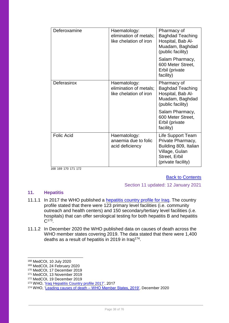| Deferoxamine      | Haematology:<br>elimination of metals;<br>like chelation of iron | Pharmacy of<br><b>Baghdad Teaching</b><br>Hospital, Bab Al-<br>Muadam, Baghdad<br>(public facility)                      |
|-------------------|------------------------------------------------------------------|--------------------------------------------------------------------------------------------------------------------------|
|                   |                                                                  | Salam Pharmacy,<br>600 Meter Street,<br>Erbil (private<br>facility)                                                      |
| Deferasirox       | Haematology:<br>elimination of metals;<br>like chelation of iron | Pharmacy of<br><b>Baghdad Teaching</b><br>Hospital, Bab Al-<br>Muadam, Baghdad<br>(public facility)                      |
|                   |                                                                  | Salam Pharmacy,<br>600 Meter Street,<br>Erbil (private<br>facility)                                                      |
| <b>Folic Acid</b> | Haematology:<br>anaemia due to folic<br>acid deficiency          | Life Support Team<br>Private Pharmacy,<br>Building 809, Italian<br>Village, Gulan<br>Street, Erbil<br>(private facility) |

168 169 170 171 172

#### **[Back to Contents](#page-2-0)**

# Section 11 updated: 12 January 2021

# **11. Hepatitis**

- 11.1.1 In 2017 the WHO published a [hepatitis country profile for Iraq.](http://www.emro.who.int/images/stories/asd/hepatitis_profiles/iraq_hepatitis_profile.pdf) The country profile stated that there were 123 primary level facilities (i.e. community outreach and health centers) and 150 secondary/tertiary level facilities (i.e. hospitals) that can offer serological testing for both hepatitis B and hepatitis  $C^{173}$ .
- 11.1.2 In December 2020 the WHO published data on causes of death across the WHO member states covering 2019. The data stated that there were 1,400 deaths as a result of hepatitis in 2019 in Iraq<sup>174</sup>.

<sup>168</sup> MedCOI, 10 July 2020

<sup>169</sup> MedCOI, 24 February 2020

<sup>170</sup> MedCOI, 17 December 2019

<sup>171</sup> MedCOI, 13 November 2019

<sup>172</sup> MedCOI, 19 December 2019

<sup>173</sup> WHO, ['Iraq Hepatitis Country profile 2017',](http://www.emro.who.int/images/stories/asd/hepatitis_profiles/iraq_hepatitis_profile.pdf) 2017

<sup>174</sup> WHO, 'Leading causes of death – [WHO Member States, 2019',](https://www.who.int/data/gho/data/themes/mortality-and-global-health-estimates/ghe-leading-causes-of-death) December 2020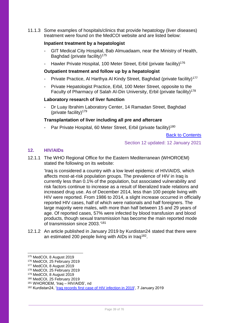11.1.3 Some examples of hospitals/clinics that provide hepatology (liver diseases) treatment were found on the MedCOI website and are listed below:

# **Inpatient treatment by a hepatologist**

- GIT Medical City Hospital, Bab Almuadaam, near the Ministry of Health, Baghdad (private facility)<sup>175</sup>
- Hawler Private Hospital, 100 Meter Street, Erbil (private facility)<sup>176</sup>

## **Outpatient treatment and follow up by a hepatologist**

- Private Practice, Al Harthya Al Kindy Street, Baghdad (private facility)<sup>177</sup>
- Private Hepatologist Practice, Erbil, 100 Meter Street, opposite to the Faculty of Pharmacy of Salah Al-Din University, Erbil (private facility)<sup>178</sup>

## **Laboratory research of liver function**

- Dr Luay Ibrahim Laboratory Center, 14 Ramadan Street, Baghdad (private facility)<sup>179</sup>

## **Transplantation of liver including all pre and aftercare**

Par Private Hospital, 60 Meter Street, Erbil (private facility)<sup>180</sup>

[Back to Contents](#page-2-0)

Section 12 updated: 12 January 2021

# **12. HIV/AIDs**

12.1.1 The WHO Regional Office for the Eastern Mediterranean (WHOROEM) stated the following on its website:

'Iraq is considered a country with a low level epidemic of HIV/AIDS, which affects most-at-risk population groups. The prevalence of HIV in Iraq is currently less than 0.1% of the population, but associated vulnerability and risk factors continue to increase as a result of liberalized trade relations and increased drug use. As of December 2014, less than 100 people living with HIV were reported. From 1986 to 2014, a slight increase occurred in officially reported HIV cases, half of which were nationals and half foreigners. The large majority were males, with more than half between 15 and 29 years of age. Of reported cases, 57% were infected by blood transfusion and blood products, though sexual transmission has become the main reported mode of transmission since 2003.'<sup>181</sup>

12.1.2 An article published in January 2019 by Kurdistan24 stated that there were an estimated 200 people living with AIDs in Iraq<sup>182</sup>.

 $\overline{a}$ 

<sup>175</sup> MedCOI, 8 August 2019

<sup>176</sup> MedCOI, 25 February 2019

<sup>177</sup> MedCOI, 8 August 2019

<sup>178</sup> MedCOI, 25 February 2019

<sup>179</sup> MedCOI, 8 August 2019

<sup>180</sup> MedCOI, 25 February 2019

<sup>181</sup> WHOROEM, 'Iraq – HIV/AIDS', nd

<sup>182</sup> Kurdistan24, ['Iraq records first case of HIV infection in 2019'](https://www.kurdistan24.net/en/story/18516-Iraq-records-first-case-of-HIV-infection-in-2019), 7 January 2019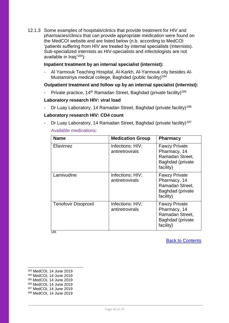12.1.3 Some examples of hospitals/clinics that provide treatment for HIV and pharmacies/clinics that can provide appropriate medication were found on the MedCOI website and are listed below (n.b. according to MedCOI 'patients suffering from HIV are treated by internal specialists (Internists). Sub-specialized internists as HIV-specialists and infectologists are not available in Iraq'<sup>183</sup>):

# **Inpatient treatment by an internal specialist (internist):**

- Al Yarmouk Teaching Hospital, Al-Karkh, Al-Yarmouk city besides Al-Mustansiriya medical college, Baghdad (public facility)<sup>184</sup>

# **Outpatient treatment and follow up by an internal specialist (internist):**

Private practice, 14<sup>th</sup> Ramadan Street, Baghdad (private facility)<sup>185</sup>

# **Laboratory research HIV: viral load**

Dr Luay Laboratory, 14 Ramadan Street, Baghdad (private facility)<sup>186</sup>

# **Laboratory research HIV: CD4 count**

- Dr Luay Laboratory, 14 Ramadan Street, Baghdad (private facility)<sup>187</sup> Available medications:

| <b>Name</b>                 | <b>Medication Group</b>             | <b>Pharmacy</b>                                                                          |
|-----------------------------|-------------------------------------|------------------------------------------------------------------------------------------|
| Efavirnez                   | Infections: HIV;<br>antiretrovirals | <b>Fawzy Private</b><br>Pharmacy, 14<br>Ramadan Street,<br>Baghdad (private<br>facility) |
| Lamivudine                  | Infections: HIV;<br>antiretrovirals | <b>Fawzy Private</b><br>Pharmacy, 14<br>Ramadan Street,<br>Baghdad (private<br>facility) |
| <b>Tenofovir Disoproxil</b> | Infections: HIV;<br>antiretrovirals | <b>Fawzy Private</b><br>Pharmacy, 14<br>Ramadan Street,<br>Baghdad (private<br>facility) |

188

[Back to Contents](#page-2-0)

- <sup>184</sup> MedCOI, 14 June 2019 <sup>185</sup> MedCOI, 14 June 2019
- <sup>186</sup> MedCOI, 14 June 2019
- <sup>187</sup> MedCOI, 14 June 2019
- <sup>188</sup> MedCOI, 14 June 2019

<sup>183</sup> MedCOI, 14 June 2019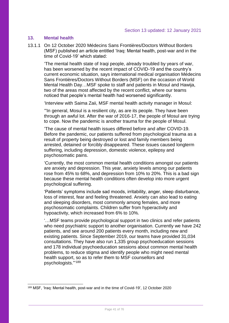# **13. Mental health**

1

13.1.1 On 12 October 2020 Médecins Sans Frontières/Doctors Without Borders (MSF) published an article entitled 'Iraq: Mental health, post-war and in the time of Covid-19' which stated:

'The mental health state of Iraqi people, already troubled by years of war, has been worsened by the recent impact of COVID-19 and the country's current economic situation, says international medical organisation Médecins Sans Frontières/Doctors Without Borders (MSF) on the occasion of World Mental Health Day…MSF spoke to staff and patients in Mosul and Hawija, two of the areas most affected by the recent conflict, where our teams noticed that people's mental health had worsened significantly.

'Interview with Saima Zaii, MSF mental health activity manager in Mosul:

'"In general, Mosul is a resilient city, as are its people. They have been through an awful lot. After the war of 2016-17, the people of Mosul are trying to cope. Now the pandemic is another trauma for the people of Mosul.

'The cause of mental health issues differed before and after COVID-19. Before the pandemic, our patients suffered from psychological trauma as a result of property being destroyed or lost and family members being arrested, detained or forcibly disappeared. These issues caused longterm suffering, including depression, domestic violence, epilepsy and psychosomatic pains.

'Currently, the most common mental health conditions amongst our patients are anxiety and depression. This year, anxiety levels among our patients rose from 45% to 68%, and depression from 10% to 20%. This is a bad sign because these mental health conditions often develop into more urgent psychological suffering.

'Patients' symptoms include sad moods, irritability, anger, sleep disturbance, loss of interest, fear and feeling threatened. Anxiety can also lead to eating and sleeping disorders, most commonly among females, and more psychosomatic complaints. Children suffer from hyperactivity and hypoactivity, which increased from 6% to 10%.

'…MSF teams provide psychological support in two clinics and refer patients who need psychiatric support to another organisation. Currently we have 242 patients, and see around 200 patients every month, including new and existing patients. Since September 2019, our teams have provided 31,034 consultations. They have also run 1,335 group psychoeducation sessions and 178 individual psychoeducation sessions about common mental health problems, to reduce stigma and identify people who might need mental health support, so as to refer them to MSF counsellors and psychologists."' 189

<sup>189</sup> MSF, 'Iraq: Mental health, post-war and in the time of Covid-19', 12 October 2020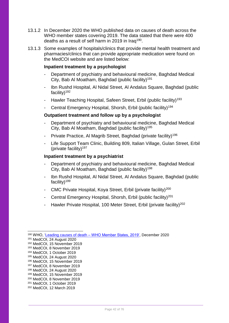- 13.1.2 In December 2020 the WHO published data on causes of death across the WHO member states covering 2019. The data stated that there were 400 deaths as a result of self harm in 2019 in Iraq<sup>190</sup>.
- 13.1.3 Some examples of hospitals/clinics that provide mental health treatment and pharmacies/clinics that can provide appropriate medication were found on the MedCOI website and are listed below:

## **Inpatient treatment by a psychologist**

- Department of psychiatry and behavioural medicine, Baghdad Medical City, Bab Al Moatham, Baghdad (public facility)<sup>191</sup>
- Ibn Rushd Hospital, Al Nidal Street, Al Andalus Square, Baghdad (public facility)<sup>192</sup>
- Hawler Teaching Hospital, Safeen Street, Erbil (public facility)<sup>193</sup>
- Central Emergency Hospital, Shorsh, Erbil (public facility)<sup>194</sup>

## **Outpatient treatment and follow up by a psychologist**

- Department of psychiatry and behavioural medicine, Baghdad Medical City, Bab Al Moatham, Baghdad (public facility)<sup>195</sup>
- Private Practice, Al Magrib Street, Baghdad (private facility)<sup>196</sup>
- Life Support Team Clinic, Building 809, Italian Village, Gulan Street, Erbil (private facility) $197$

## **Inpatient treatment by a psychiatrist**

- Department of psychiatry and behavioural medicine, Baghdad Medical City, Bab Al Moatham, Baghdad (public facility)<sup>198</sup>
- Ibn Rushd Hospital, Al Nidal Street, Al Andalus Square, Baghdad (public facility)<sup>199</sup>
- CMC Private Hospital, Koya Street, Erbil (private facility)<sup>200</sup>
- Central Emergency Hospital, Shorsh, Erbil (public facility)<sup>201</sup>
- Hawler Private Hospital, 100 Meter Street, Erbil (private facility)<sup>202</sup>

<sup>-</sup><sup>190</sup> WHO, 'Leading causes of death – [WHO Member States, 2019',](https://www.who.int/data/gho/data/themes/mortality-and-global-health-estimates/ghe-leading-causes-of-death) December 2020

<sup>191</sup> MedCOI, 24 August 2020

<sup>192</sup> MedCOI, 15 November 2019

<sup>193</sup> MedCOI, 8 November 2019

<sup>194</sup> MedCOI, 1 October 2019 <sup>195</sup> MedCOI, 24 August 2020

<sup>196</sup> MedCOI, 15 November 2019

<sup>197</sup> MedCOI, 8 November 2019

<sup>198</sup> MedCOI, 24 August 2020

<sup>199</sup> MedCOI, 15 November 2019

<sup>200</sup> MedCOI, 8 November 2019

<sup>201</sup> MedCOI, 1 October 2019

<sup>202</sup> MedCOI, 12 March 2019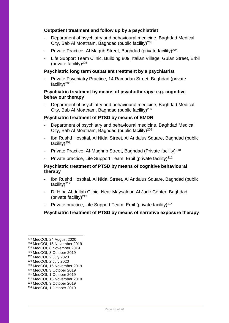# **Outpatient treatment and follow up by a psychiatrist**

- Department of psychiatry and behavioural medicine, Baghdad Medical City, Bab Al Moatham, Baghdad (public facility)<sup>203</sup>
- Private Practice, Al Magrib Street, Baghdad (private facility)<sup>204</sup>
- Life Support Team Clinic, Building 809, Italian Village, Gulan Street, Erbil (private facility) $205$

# **Psychiatric long term outpatient treatment by a psychiatrist**

Private Psychiatry Practice, 14 Ramadan Street, Baghdad (private facility)<sup>206</sup>

## **Psychiatric treatment by means of psychotherapy: e.g. cognitive behaviour therapy**

Department of psychiatry and behavioural medicine, Baghdad Medical City, Bab Al Moatham, Baghdad (public facility)<sup>207</sup>

## **Psychiatric treatment of PTSD by means of EMDR**

- Department of psychiatry and behavioural medicine, Baghdad Medical City, Bab Al Moatham, Baghdad (public facility)<sup>208</sup>
- Ibn Rushd Hospital, Al Nidal Street, Al Andalus Square, Baghdad (public facility)<sup>209</sup>
- Private Practice, Al-Maghrib Street, Baghdad (Private facility)<sup>210</sup>
- Private practice, Life Support Team, Erbil (private facility)<sup>211</sup>

# **Psychiatric treatment of PTSD by means of cognitive behavioural therapy**

- Ibn Rushd Hospital, Al Nidal Street, Al Andalus Square, Baghdad (public facility) $^{212}$
- Dr Hiba Abdullah Clinic, Near Maysaloun Al Jadir Center, Baghdad (private facility) $213$
- Private practice, Life Support Team, Erbil (private facility)<sup>214</sup>

# **Psychiatric treatment of PTSD by means of narrative exposure therapy**

-

<sup>214</sup> MedCOI, 1 October 2019

<sup>203</sup> MedCOI, 24 August 2020

<sup>204</sup> MedCOI, 15 November 2019

<sup>205</sup> MedCOI, 8 November 2019

<sup>206</sup> MedCOI, 3 October 2019 <sup>207</sup> MedCOI, 2 July 2020

<sup>208</sup> MedCOI, 2 July 2020

<sup>209</sup> MedCOI, 15 November 2019

<sup>210</sup> MedCOI, 3 October 2019

<sup>211</sup> MedCOI, 1 October 2019

<sup>212</sup> MedCOI, 15 November 2019

<sup>213</sup> MedCOI, 3 October 2019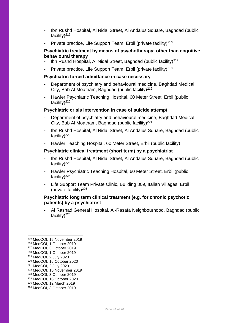- Ibn Rushd Hospital, Al Nidal Street, Al Andalus Square, Baghdad (public facility) $^{215}$
- Private practice, Life Support Team, Erbil (private facility)<sup>216</sup>

# **Psychiatric treatment by means of psychotherapy: other than cognitive behavioural therapy**

- Ibn Rushd Hospital, Al Nidal Street, Baghdad (public facility)<sup>217</sup>
- Private practice, Life Support Team, Erbil (private facility)<sup>218</sup>

#### **Psychiatric forced admittance in case necessary**

- Department of psychiatry and behavioural medicine, Baghdad Medical City, Bab Al Moatham, Baghdad (public facility)<sup>219</sup>
- Hawler Psychiatric Teaching Hospital, 60 Meter Street, Erbil (public facility) $^{220}$

#### **Psychiatric crisis intervention in case of suicide attempt**

- Department of psychiatry and behavioural medicine, Baghdad Medical City, Bab Al Moatham, Baghdad (public facility) $^{221}$
- Ibn Rushd Hospital, Al Nidal Street, Al Andalus Square, Baghdad (public facility) $^{222}$
- Hawler Teaching Hospital, 60 Meter Street, Erbil (public facility)

# **Psychiatric clinical treatment (short term) by a psychiatrist**

- Ibn Rushd Hospital, Al Nidal Street, Al Andalus Square, Baghdad (public facility) $^{223}$
- Hawler Psychiatric Teaching Hospital, 60 Meter Street, Erbil (public facility) $^{224}$
- Life Support Team Private Clinic, Building 809, Italian Villages, Erbil (private facility) $225$

# **Psychiatric long term clinical treatment (e.g. for chronic psychotic patients) by a psychiatrist**

- Al Rashad General Hospital, Al-Rasafa Neighbourhood, Baghdad (public facility) $^{226}$ 

- <sup>221</sup> MedCOI, 2 July 2020
- <sup>222</sup> MedCOI, 15 November 2019
- <sup>223</sup> MedCOI, 3 October 2019
- <sup>224</sup> MedCOI, 16 October 2020
- <sup>225</sup> MedCOI, 12 March 2019
- <sup>226</sup> MedCOI, 3 October 2019

<sup>215</sup> MedCOI, 15 November 2019

<sup>216</sup> MedCOI, 1 October 2019

<sup>217</sup> MedCOI, 3 October 2019

<sup>218</sup> MedCOI, 1 October 2019

<sup>219</sup> MedCOI, 2 July 2020 <sup>220</sup> MedCOI, 16 October 2020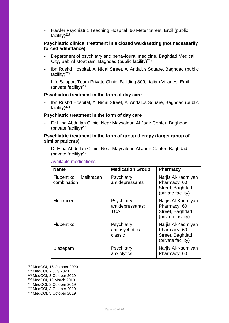Hawler Psychiatric Teaching Hospital, 60 Meter Street, Erbil (public facility)<sup>227</sup>

## **Psychiatric clinical treatment in a closed ward/setting (not necessarily forced admittance)**

- Department of psychiatry and behavioural medicine, Baghdad Medical City, Bab Al Moatham, Baghdad (public facility) $228$
- Ibn Rushd Hospital, Al Nidal Street, Al Andalus Square, Baghdad (public facility) $^{229}$
- Life Support Team Private Clinic, Building 809, Italian Villages, Erbil (private facility) $230$

## **Psychiatric treatment in the form of day care**

- Ibn Rushd Hospital, Al Nidal Street, Al Andalus Square, Baghdad (public facility) $^{231}$ 

## **Psychiatric treatment in the form of day care**

- Dr Hiba Abdullah Clinic, Near Maysaloun Al Jadir Center, Baghdad (private facility) $232$ 

# **Psychiatric treatment in the form of group therapy (target group of similar patients)**

- Dr Hiba Abdullah Clinic, Near Maysaloun Al Jadir Center, Baghdad (private facility) $233$ 

Available medications:

| <b>Name</b>                             | <b>Medication Group</b>                   | <b>Pharmacy</b>                                                             |
|-----------------------------------------|-------------------------------------------|-----------------------------------------------------------------------------|
| Flupentixol + Melitracen<br>combination | Psychiatry:<br>antidepressants            | Narjis Al-Kadmiyah<br>Pharmacy, 60<br>Street, Baghdad<br>(private facility) |
| Melitracen                              | Psychiatry:<br>antidepressants;<br>TCA    | Narjis Al-Kadmiyah<br>Pharmacy, 60<br>Street, Baghdad<br>(private facility) |
| Flupentixol                             | Psychiatry:<br>antipsychotics;<br>classic | Narjis Al-Kadmiyah<br>Pharmacy, 60<br>Street, Baghdad<br>(private facility) |
| Diazepam                                | Psychiatry:<br>anxiolytics                | Narjis Al-Kadmiyah<br>Pharmacy, 60                                          |

-<sup>227</sup> MedCOI, 16 October 2020

<sup>228</sup> MedCOI, 2 July 2020

<sup>229</sup> MedCOI, 3 October 2019

<sup>230</sup> MedCOI, 12 March 2019

<sup>231</sup> MedCOI, 3 October 2019

<sup>232</sup> MedCOI, 3 October 2019

<sup>233</sup> MedCOI, 3 October 2019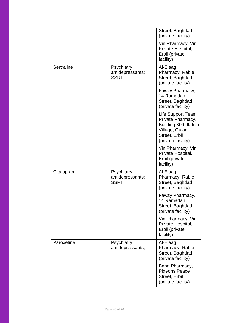|            |                                                | Street, Baghdad<br>(private facility)                                                                                    |
|------------|------------------------------------------------|--------------------------------------------------------------------------------------------------------------------------|
|            |                                                | Vin Pharmacy, Vin<br>Private Hospital,<br>Erbil (private<br>facility)                                                    |
| Sertraline | Psychiatry:<br>antidepressants;<br><b>SSRI</b> | Al-Elaag<br>Pharmacy, Rabie<br>Street, Baghdad<br>(private facility)                                                     |
|            |                                                | Fawzy Pharmacy,<br>14 Ramadan<br>Street, Baghdad<br>(private facility)                                                   |
|            |                                                | Life Support Team<br>Private Pharmacy,<br>Building 809, Italian<br>Village, Gulan<br>Street, Erbil<br>(private facility) |
|            |                                                | Vin Pharmacy, Vin<br>Private Hospital,<br>Erbil (private<br>facility)                                                    |
| Citalopram | Psychiatry:<br>antidepressants;<br><b>SSRI</b> | Al-Elaag<br>Pharmacy, Rabie<br>Street, Baghdad<br>(private facility)                                                     |
|            |                                                | Fawzy Pharmacy,<br>14 Ramadan<br>Street, Baghdad<br>(private facility)                                                   |
|            |                                                | Vin Pharmacy, Vin<br>Private Hospital,<br>Erbil (private<br>facility)                                                    |
| Paroxetine | Psychiatry:<br>antidepressants;                | Al-Elaag<br>Pharmacy, Rabie<br>Street, Baghdad<br>(private facility)                                                     |
|            |                                                | Bana Pharmacy,<br><b>Pigeons Peace</b><br>Street, Erbil<br>(private facility)                                            |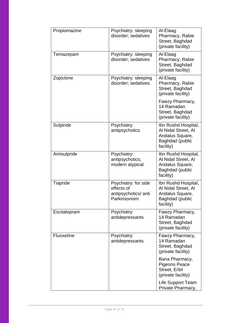| Propiomazine | Psychiatry: sleeping<br>disorder; sedatives                                | Al-Elaag<br>Pharmacy, Rabie<br>Street, Baghdad<br>(private facility)                                 |
|--------------|----------------------------------------------------------------------------|------------------------------------------------------------------------------------------------------|
| Temazepam    | Psychiatry: sleeping<br>disorder; sedatives                                | Al-Elaag<br>Pharmacy, Rabie<br>Street, Baghdad<br>(private facility)                                 |
| Zopiclone    | Psychiatry: sleeping<br>disorder; sedatives                                | Al-Elaag<br>Pharmacy, Rabie<br>Street, Baghdad<br>(private facility)                                 |
|              |                                                                            | Fawzy Pharmacy,<br>14 Ramadan<br>Street, Baghdad<br>(private facility)                               |
| Sulpiride    | Psychiatry:<br>antipsychotics                                              | Ibn Rushd Hospital,<br>Al Nidal Street, Al<br>Andalus Square,<br><b>Baghdad (public</b><br>facility) |
| Amisulpride  | Psychiatry:<br>antipsychotics;<br>modern atypical                          | Ibn Rushd Hospital,<br>Al Nidal Street, Al<br>Andalus Square,<br>Baghdad (public<br>facility)        |
| Tiapride     | Psychiatry: for side<br>effects of<br>antipsychotics/ anti<br>Parkinsonism | Ibn Rushd Hospital,<br>Al Nidal Street, Al<br>Andalus Square,<br><b>Baghdad (public</b><br>facility) |
| Escitalopram | Psychiatry:<br>antidepressants                                             | Fawzy Pharmacy,<br>14 Ramadan<br>Street, Baghdad<br>(private facility)                               |
| Fluoxetine   | Psychiatry:<br>antidepressants                                             | Fawzy Pharmacy,<br>14 Ramadan<br>Street, Baghdad<br>(private facility)                               |
|              |                                                                            | Bana Pharmacy,<br><b>Pigeons Peace</b><br>Street, Erbil<br>(private facility)                        |
|              |                                                                            | Life Support Team<br>Private Pharmacy,                                                               |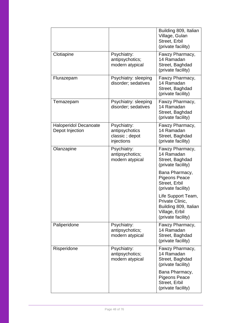|                                                        |                                                               | Building 809, Italian<br>Village, Gulan<br>Street, Erbil<br>(private facility)                         |
|--------------------------------------------------------|---------------------------------------------------------------|--------------------------------------------------------------------------------------------------------|
| Clotiapine                                             | Psychiatry:<br>antipsychotics;<br>modern atypical             | Fawzy Pharmacy,<br>14 Ramadan<br>Street, Baghdad<br>(private facility)                                 |
| Flurazepam                                             | Psychiatry: sleeping<br>disorder; sedatives                   | Fawzy Pharmacy,<br>14 Ramadan<br>Street, Baghdad<br>(private facility)                                 |
| Temazepam                                              | Psychiatry: sleeping<br>disorder; sedatives                   | Fawzy Pharmacy,<br>14 Ramadan<br>Street, Baghdad<br>(private facility)                                 |
| <b>Haloperidol Decanoate</b><br><b>Depot Injection</b> | Psychiatry:<br>antipsychotics<br>classic; depot<br>injections | Fawzy Pharmacy,<br>14 Ramadan<br>Street, Baghdad<br>(private facility)                                 |
| Olanzapine                                             | Psychiatry:<br>antipsychotics;<br>modern atypical             | Fawzy Pharmacy,<br>14 Ramadan<br>Street, Baghdad<br>(private facility)                                 |
|                                                        |                                                               | Bana Pharmacy,<br><b>Pigeons Peace</b><br>Street, Erbil<br>(private facility)                          |
|                                                        |                                                               | Life Support Team,<br>Private Clinic,<br>Building 809, Italian<br>Village, Erbil<br>(private facility) |
| Paliperidone                                           | Psychiatry:<br>antipsychotics;<br>modern atypical             | Fawzy Pharmacy,<br>14 Ramadan<br>Street, Baghdad<br>(private facility)                                 |
| Risperidone                                            | Psychiatry:<br>antipsychotics;<br>modern atypical             | Fawzy Pharmacy,<br>14 Ramadan<br>Street, Baghdad<br>(private facility)                                 |
|                                                        |                                                               | Bana Pharmacy,<br><b>Pigeons Peace</b><br>Street, Erbil<br>(private facility)                          |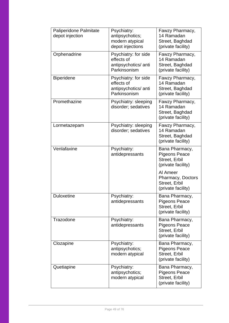| Paliperidone Palmitate<br>depot injection | Psychiatry:<br>antipsychotics;<br>modern atypical<br>depot injections      | Fawzy Pharmacy,<br>14 Ramadan<br>Street, Baghdad<br>(private facility)        |
|-------------------------------------------|----------------------------------------------------------------------------|-------------------------------------------------------------------------------|
| Orphenadrine                              | Psychiatry: for side<br>effects of<br>antipsychotics/ anti<br>Parkinsonism | Fawzy Pharmacy,<br>14 Ramadan<br>Street, Baghdad<br>(private facility)        |
| <b>Biperidene</b>                         | Psychiatry: for side<br>effects of<br>antipsychotics/ anti<br>Parkinsonism | Fawzy Pharmacy,<br>14 Ramadan<br>Street, Baghdad<br>(private facility)        |
| Promethazine                              | Psychiatry: sleeping<br>disorder; sedatives                                | Fawzy Pharmacy,<br>14 Ramadan<br>Street, Baghdad<br>(private facility)        |
| Lormetazepam                              | Psychiatry: sleeping<br>disorder; sedatives                                | Fawzy Pharmacy,<br>14 Ramadan<br>Street, Baghdad<br>(private facility)        |
| Venlafaxine                               | Psychiatry:<br>antidepressants                                             | Bana Pharmacy,<br><b>Pigeons Peace</b><br>Street, Erbil<br>(private facility) |
|                                           |                                                                            | Al Ameer<br><b>Pharmacy, Doctors</b><br>Street, Erbil<br>(private facility)   |
| <b>Duloxetine</b>                         | Psychiatry:<br>antidepressants                                             | Bana Pharmacy,<br><b>Pigeons Peace</b><br>Street, Erbil<br>(private facility) |
| Trazodone                                 | Psychiatry:<br>antidepressants                                             | Bana Pharmacy,<br><b>Pigeons Peace</b><br>Street, Erbil<br>(private facility) |
| Clozapine                                 | Psychiatry:<br>antipsychotics;<br>modern atypical                          | Bana Pharmacy,<br><b>Pigeons Peace</b><br>Street, Erbil<br>(private facility) |
| Quetiapine                                | Psychiatry:<br>antipsychotics;<br>modern atypical                          | Bana Pharmacy,<br><b>Pigeons Peace</b><br>Street, Erbil<br>(private facility) |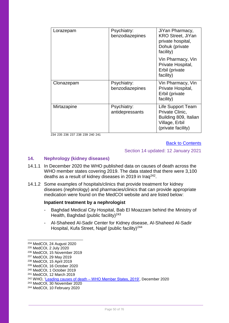| Lorazepam   | Psychiatry:<br>benzodiazepines | JiYan Pharmacy,<br><b>KRO Street, JiYan</b><br>private hospital,<br>Dohuk (private<br>facility)       |
|-------------|--------------------------------|-------------------------------------------------------------------------------------------------------|
|             |                                | Vin Pharmacy, Vin<br>Private Hospital,<br>Erbil (private<br>facility)                                 |
| Clonazepam  | Psychiatry:<br>benzodiazepines | Vin Pharmacy, Vin<br>Private Hospital,<br>Erbil (private<br>facility)                                 |
| Mirtazapine | Psychiatry:<br>antidepressants | Life Support Team<br>Private Clinic,<br>Building 809, Italian<br>Village, Erbil<br>(private facility) |

234 235 236 237 238 239 240 241

#### [Back to Contents](#page-2-0)

#### Section 14 updated: 12 January 2021

# **14. Nephrology (kidney diseases)**

- 14.1.1 In December 2020 the WHO published data on causes of death across the WHO member states covering 2019. The data stated that there were 3,100 deaths as a result of kidney diseases in 2019 in Iraq<sup>242</sup>.
- 14.1.2 Some examples of hospitals/clinics that provide treatment for kidney diseases (nephrology) and pharmacies/clinics that can provide appropriate medication were found on the MedCOI website and are listed below:

#### **Inpatient treatment by a nephrologist**

- Baghdad Medical City Hospital, Bab El Moazzam behind the Ministry of Health, Baghdad (public facility)<sup>243</sup>
- Al-Shaheed Al-Sadir Center for Kidney disease, Al-Shaheed Al-Sadir Hospital, Kufa Street, Najaf (public facility)<sup>244</sup>

<sup>234</sup> MedCOI, 24 August 2020

<sup>235</sup> MedCOI, 2 July 2020

<sup>236</sup> MedCOI, 15 November 2019

<sup>237</sup> MedCOI, 29 May 2019

<sup>238</sup> MedCOI, 15 April 2019

<sup>239</sup> MedCOI, 16 October 2020

<sup>240</sup> MedCOI, 1 October 2019

<sup>241</sup> MedCOI, 12 March 2019

<sup>242</sup> WHO, 'Leading causes of death – [WHO Member States, 2019',](https://www.who.int/data/gho/data/themes/mortality-and-global-health-estimates/ghe-leading-causes-of-death) December 2020

<sup>243</sup> MedCOI, 30 November 2020

<sup>244</sup> MedCOI, 10 February 2020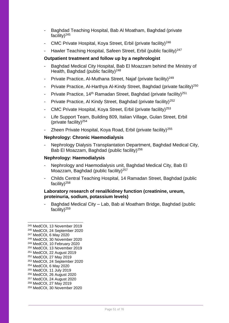- Baghdad Teaching Hospital, Bab Al Moatham, Baghdad (private facility) $^{245}$
- CMC Private Hospital, Koya Street, Erbil (private facility)<sup>246</sup>
- Hawler Teaching Hospital, Safeen Street, Erbil (public facility)<sup>247</sup>

## **Outpatient treatment and follow up by a nephrologist**

- Baghdad Medical City Hospital, Bab El Moazzam behind the Ministry of Health, Baghdad (public facility) $248$
- Private Practice, Al-Muthana Street, Najaf (private facility)<sup>249</sup>
- Private Practice, Al-Harthya Al-Kindy Street, Baghdad (private facility)<sup>250</sup>
- Private Practice, 14<sup>th</sup> Ramadan Street, Baghdad (private facility)<sup>251</sup>
- Private Practice, Al Kindy Street, Baghdad (private facility)<sup>252</sup>
- CMC Private Hospital, Koya Street, Erbil (private facility)<sup>253</sup>
- Life Support Team, Building 809, Italian Village, Gulan Street, Erbil (private facility) $254$
- Zheen Private Hospital, Koya Road, Erbil (private facility)<sup>255</sup>

#### **Nephrology: Chronic Haemodialysis**

- Nephrology Dialysis Transplantation Department, Baghdad Medical City, Bab El Moazzam, Baghdad (public facility)<sup>256</sup>

#### **Nephrology: Haemodialysis**

- Nephrology and Haemodialysis unit, Baghdad Medical City, Bab El Moazzam, Baghdad (public facility)<sup>257</sup>
- Childs Central Teaching Hospital, 14 Ramadan Street, Baghdad (public facility) $^{258}$

### **Laboratory research of renal/kidney function (creatinine, ureum, proteinuria, sodium, potassium levels)**

Baghdad Medical City – Lab, Bab al Moatham Bridge, Baghdad (public facility)<sup>259</sup>

- <sup>256</sup> MedCOI, 26 August 2020
- <sup>257</sup> MedCOI, 24 August 2020
- <sup>258</sup> MedCOI, 27 May 2019
- <sup>259</sup> MedCOI, 30 November 2020

<sup>245</sup> MedCOI, 13 November 2019

<sup>246</sup> MedCOI, 24 September 2020

<sup>247</sup> MedCOI, 6 May 2020

<sup>248</sup> MedCOI, 30 November 2020 <sup>249</sup> MedCOI, 10 February 2020

<sup>250</sup> MedCOI, 13 November 2019

<sup>251</sup> MedCOI, 22 August 2019

<sup>252</sup> MedCOI, 27 May 2019

<sup>253</sup> MedCOI, 24 September 2020

<sup>254</sup> MedCOI, 6 May 2020

<sup>255</sup> MedCOI, 11 July 2019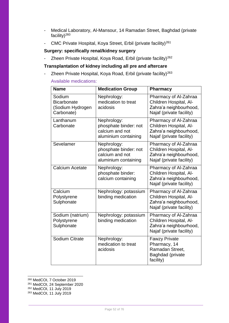- Medical Laboratory, Al-Mansour, 14 Ramadan Street, Baghdad (private facility)<sup>260</sup>
- CMC Private Hospital, Koya Street, Erbil (private facility)<sup>261</sup>

# **Surgery: specifically renal/kidney surgery**

- Zheen Private Hospital, Koya Road, Erbil (private facility)<sup>262</sup>

# **Transplantation of kidney including all pre and aftercare**

- Zheen Private Hospital, Koya Road, Erbil (private facility)<sup>263</sup> Available medications:

| <b>Name</b>                                                    | <b>Medication Group</b>                                                         | <b>Pharmacy</b>                                                                                       |
|----------------------------------------------------------------|---------------------------------------------------------------------------------|-------------------------------------------------------------------------------------------------------|
| Sodium<br><b>Bicarbonate</b><br>(Sodium Hydrogen<br>Carbonate) | Nephrology:<br>medication to treat<br>acidosis                                  | Pharmacy of Al-Zahraa<br>Children Hospital, Al-<br>Zahra'a neighbourhood,<br>Najaf (private facility) |
| Lanthanum<br>Carbonate                                         | Nephrology:<br>phosphate binder: not<br>calcium and not<br>aluminium containing | Pharmacy of Al-Zahraa<br>Children Hospital, Al-<br>Zahra'a neighbourhood,<br>Najaf (private facility) |
| Sevelamer                                                      | Nephrology:<br>phosphate binder: not<br>calcium and not<br>aluminium containing | Pharmacy of Al-Zahraa<br>Children Hospital, Al-<br>Zahra'a neighbourhood,<br>Najaf (private facility) |
| Calcium Acetate                                                | Nephrology:<br>phosphate binder:<br>calcium containing                          | Pharmacy of Al-Zahraa<br>Children Hospital, Al-<br>Zahra'a neighbourhood,<br>Najaf (private facility) |
| Calcium<br>Polystyrene<br>Sulphonate                           | Nephrology: potassium<br>binding medication                                     | Pharmacy of Al-Zahraa<br>Children Hospital, Al-<br>Zahra'a neighbourhood,<br>Najaf (private facility) |
| Sodium (natrium)<br>Polystyrene<br>Sulphonate                  | Nephrology: potassium<br>binding medication                                     | Pharmacy of Al-Zahraa<br>Children Hospital, Al-<br>Zahra'a neighbourhood,<br>Najaf (private facility) |
| Sodium Citrate                                                 | Nephrology:<br>medication to treat<br>acidosis                                  | <b>Fawzy Private</b><br>Pharmacy, 14<br>Ramadan Street,<br>Baghdad (private<br>facility)              |

-<sup>260</sup> MedCOI, 7 October 2019

- <sup>261</sup> MedCOI, 24 September 2020
- <sup>262</sup> MedCOI, 11 July 2019
- <sup>263</sup> MedCOI, 11 July 2019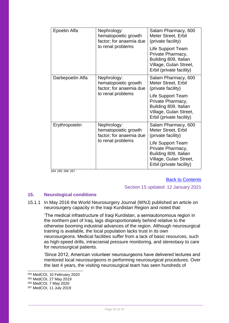| Epoetin Alfa     | Nephrology:<br>hematopoietic growth<br>factor; for anaemia due                      | Salam Pharmacy, 600<br>Meter Street, Erbil<br>(private facility)                                                      |
|------------------|-------------------------------------------------------------------------------------|-----------------------------------------------------------------------------------------------------------------------|
|                  | to renal problems                                                                   | Life Support Team<br>Private Pharmacy,<br>Building 809, Italian<br>Village, Gulan Street,<br>Erbil (private facility) |
| Darbepoetin Alfa | Nephrology:<br>hematopoietic growth<br>factor; for anaemia due<br>to renal problems | Salam Pharmacy, 600<br>Meter Street, Erbil<br>(private facility)                                                      |
|                  |                                                                                     | Life Support Team<br>Private Pharmacy,<br>Building 809, Italian<br>Village, Gulan Street,<br>Erbil (private facility) |
| Erythropoietin   | Nephrology:<br>hematopoietic growth<br>factor; for anaemia due<br>to renal problems | Salam Pharmacy, 600<br>Meter Street, Erbil<br>(private facility)                                                      |
|                  |                                                                                     | Life Support Team<br>Private Pharmacy,<br>Building 809, Italian<br>Village, Gulan Street,<br>Erbil (private facility) |

264 265 266 267

# [Back to Contents](#page-2-0)

# Section 15 updated: 12 January 2021

# **15. Neurological conditions**

15.1.1 In May 2016 the World Neurosurgery Journal (WNJ) published an article on neurosurgery capacity in the Iraqi Kurdistan Region and noted that:

'The medical infrastructure of Iraqi Kurdistan, a semiautonomous region in the northern part of Iraq, lags disproportionately behind relative to the otherwise booming industrial advances of the region. Although neurosurgical training is available, the local population lacks trust in its own neurosurgeons. Medical facilities suffer from a lack of basic resources, such as high-speed drills, intracranial pressure monitoring, and stereotaxy to care for neurosurgical patients.

'Since 2012, American volunteer neurosurgeons have delivered lectures and mentored local neurosurgeons in performing neurosurgical procedures. Over the last 4 years, the visiting neurosurgical team has seen hundreds of

<sup>264</sup> MedCOI, 10 February 2020 <sup>265</sup> MedCOI, 27 May 2019 <sup>266</sup> MedCOI, 7 May 2020

 $\overline{a}$ 

<sup>267</sup> MedCOI, 11 July 2019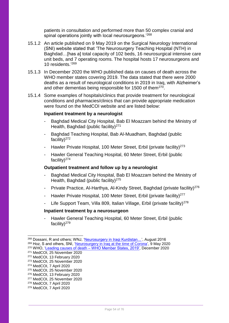patients in consultation and performed more than 50 complex cranial and spinal operations jointly with local neurosurgeons.<sup>'268</sup>

- 15.1.2 An article published on 9 May 2019 on the Surgical Neurology International (SNI) website stated that 'The Neurosurgery Teaching Hospital (NTH) in Baghdad…[has a] total capacity of 102 beds, 16 neurosurgical intensive care unit beds, and 7 operating rooms. The hospital hosts 17 neurosurgeons and 10 residents.' 269
- 15.1.3 In December 2020 the WHO published data on causes of death across the WHO member states covering 2019. The data stated that there were 2000 deaths as a result of neurological conditions in 2019 in Iraq, with Alzheimer's and other dementias being responsible for 1500 of them<sup>270</sup>.
- 15.1.4 Some examples of hospitals/clinics that provide treatment for neurological conditions and pharmacies/clinics that can provide appropriate medication were found on the MedCOI website and are listed below:

# **Inpatient treatment by a neurologist**

- Baghdad Medical City Hospital, Bab El Moazzam behind the Ministry of Health, Baghdad (public facility)<sup>271</sup>
- Baghdad Teaching Hospital, Bab Al-Muadham, Baghdad (public facility)<sup>272</sup>
- Hawler Private Hospital, 100 Meter Street, Erbil (private facility)<sup>273</sup>
- Hawler General Teaching Hospital, 60 Meter Street, Erbil (public facility) $274$

#### **Outpatient treatment and follow up by a neurologist**

- Baghdad Medical City Hospital, Bab El Moazzam behind the Ministry of Health, Baghdad (public facility) $275$
- Private Practice, Al-Harthya, Al-Kindy Street, Baghdad (private facility)<sup>276</sup>
- Hawler Private Hospital, 100 Meter Street, Erbil (private facility)<sup>277</sup>
- Life Support Team, Villa 809, Italian Village, Erbil (private facility)<sup>278</sup>

#### **Inpatient treatment by a neurosurgeon**

Hawler General Teaching Hospital, 60 Meter Street, Erbil (public facility) $^{279}$ 

<sup>268</sup> Dossani, R and others; WNJ, ['Neurosurgery in Iraqi Kurdistan…'](https://pubmed.ncbi.nlm.nih.gov/27150657/), August 2016 <sup>269</sup> Hoz, S and others, SNI, ['Neurosurgery in Iraq at the time of Corona'](https://surgicalneurologyint.com/surgicalint-articles/neurosurgery-in-iraq-at-the-time-of-corona/), 9 May 2020 <sup>270</sup> WHO, 'Leading causes of death – [WHO Member States, 2019',](https://www.who.int/data/gho/data/themes/mortality-and-global-health-estimates/ghe-leading-causes-of-death) December 2020 <sup>271</sup> MedCOI, 25 November 2020

<sup>272</sup> MedCOI, 13 February 2020 <sup>273</sup> MedCOI, 25 November 2020

<sup>274</sup> MedCOI, 7 April 2020

<sup>275</sup> MedCOI, 25 November 2020

<sup>276</sup> MedCOI, 13 February 2020

<sup>277</sup> MedCOI, 25 November 2020

<sup>278</sup> MedCOI, 7 April 2020

<sup>279</sup> MedCOI, 7 April 2020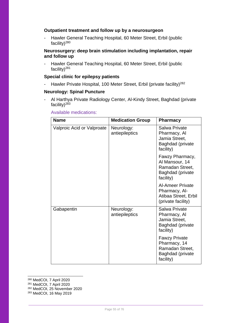# **Outpatient treatment and follow up by a neurosurgeon**

Hawler General Teaching Hospital, 60 Meter Street, Erbil (public facility) $^{280}$ 

# **Neurosurgery: deep brain stimulation including implantation, repair and follow up**

- Hawler General Teaching Hospital, 60 Meter Street, Erbil (public facility)<sup>281</sup>

# **Special clinic for epilepsy patients**

- Hawler Private Hospital, 100 Meter Street, Erbil (private facility)<sup>282</sup>

#### **Neurology: Spinal Puncture**

- Al Harthya Private Radiology Center, Al-Kindy Street, Baghdad (private facility) $^{283}$ 

| <b>Name</b>                | <b>Medication Group</b>      | <b>Pharmacy</b>                                                                          |
|----------------------------|------------------------------|------------------------------------------------------------------------------------------|
| Valproic Acid or Valproate | Neurology:<br>antiepileptics | Salwa Private<br>Pharmacy, Al<br>Jamia Street,<br>Baghdad (private<br>facility)          |
|                            |                              | Fawzy Pharmacy,<br>Al Mansour, 14<br>Ramadan Street,<br>Baghdad (private<br>facility)    |
|                            |                              | <b>Al-Ameer Private</b><br>Pharmacy, Al-<br>Atibaa Street, Erbil<br>(private facility)   |
| Gabapentin                 | Neurology:<br>antiepileptics | Salwa Private<br>Pharmacy, Al<br>Jamia Street,<br>Baghdad (private<br>facility)          |
|                            |                              | <b>Fawzy Private</b><br>Pharmacy, 14<br>Ramadan Street,<br>Baghdad (private<br>facility) |

#### Available medications:

-<sup>280</sup> MedCOI, 7 April 2020

<sup>281</sup> MedCOI, 7 April 2020

<sup>282</sup> MedCOI, 25 November 2020

<sup>283</sup> MedCOI, 16 May 2019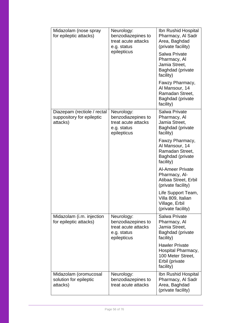| Midazolam (nose spray<br>for epileptic attacks)                      | Neurology:<br>benzodiazepines to<br>treat acute attacks<br>e.g. status<br>epilepticus | Ibn Rushid Hospital<br>Pharmacy, Al Sadr<br>Area, Baghdad<br>(private facility)<br>Salwa Private<br>Pharmacy, Al<br>Jamia Street,<br><b>Baghdad</b> (private<br>facility)<br>Fawzy Pharmacy,<br>Al Mansour, 14<br>Ramadan Street,<br>Baghdad (private<br>facility) |
|----------------------------------------------------------------------|---------------------------------------------------------------------------------------|--------------------------------------------------------------------------------------------------------------------------------------------------------------------------------------------------------------------------------------------------------------------|
| Diazepam (rectiole / rectal<br>suppository for epileptic<br>attacks) | Neurology:<br>benzodiazepines to<br>treat acute attacks<br>e.g. status<br>epilepticus | <b>Salwa Private</b><br>Pharmacy, Al<br>Jamia Street,<br>Baghdad (private<br>facility)<br>Fawzy Pharmacy,<br>Al Mansour, 14<br>Ramadan Street,                                                                                                                     |
|                                                                      |                                                                                       | Baghdad (private<br>facility)<br><b>Al-Ameer Private</b><br>Pharmacy, Al-<br>Atibaa Street, Erbil<br>(private facility)                                                                                                                                            |
|                                                                      |                                                                                       | Life Support Team,<br>Villa 809, Italian<br>Village, Erbil<br>(private facility)                                                                                                                                                                                   |
| Midazolam (i.m. injection<br>for epileptic attacks)                  | Neurology:<br>benzodiazepines to<br>treat acute attacks<br>e.g. status<br>epilepticus | Salwa Private<br>Pharmacy, Al<br>Jamia Street,<br>Baghdad (private<br>facility)                                                                                                                                                                                    |
|                                                                      |                                                                                       | <b>Hawler Private</b><br>Hospital Pharmacy,<br>100 Meter Street,<br>Erbil (private<br>facility)                                                                                                                                                                    |
| Midazolam (oromucosal<br>solution for epileptic<br>attacks)          | Neurology:<br>benzodiazepines to<br>treat acute attacks                               | Ibn Rushid Hospital<br>Pharmacy, Al Sadr<br>Area, Baghdad<br>(private facility)                                                                                                                                                                                    |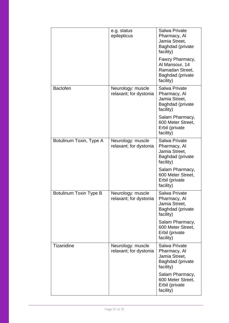|                         | e.g. status<br>epilepticus                  | Salwa Private<br>Pharmacy, Al<br>Jamia Street,<br>Baghdad (private<br>facility)              |
|-------------------------|---------------------------------------------|----------------------------------------------------------------------------------------------|
|                         |                                             | Fawzy Pharmacy,<br>Al Mansour, 14<br>Ramadan Street,<br><b>Baghdad</b> (private<br>facility) |
| <b>Baclofen</b>         | Neurology: muscle<br>relaxant; for dystonia | Salwa Private<br>Pharmacy, Al<br>Jamia Street,<br><b>Baghdad</b> (private<br>facility)       |
|                         |                                             | Salam Pharmacy,<br>600 Meter Street,<br>Erbil (private<br>facility)                          |
| Botulinum Toxin, Type A | Neurology: muscle<br>relaxant; for dystonia | Salwa Private<br>Pharmacy, Al<br>Jamia Street,<br><b>Baghdad</b> (private<br>facility)       |
|                         |                                             | Salam Pharmacy,<br>600 Meter Street,<br>Erbil (private<br>facility)                          |
| Botulinum Toxin Type B  | Neurology: muscle<br>relaxant; for dystonia | Salwa Private<br>Pharmacy, Al<br>Jamia Street,<br>Baghdad (private<br>facility)              |
|                         |                                             | Salam Pharmacy,<br>600 Meter Street,<br>Erbil (private<br>facility)                          |
| <b>Tizanidine</b>       | Neurology: muscle<br>relaxant; for dystonia | <b>Salwa Private</b><br>Pharmacy, Al<br>Jamia Street,<br>Baghdad (private<br>facility)       |
|                         |                                             | Salam Pharmacy,<br>600 Meter Street,<br>Erbil (private<br>facility)                          |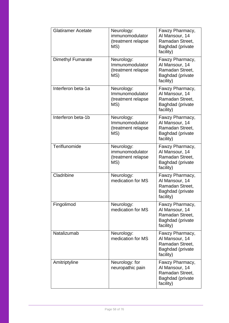| <b>Glatiramer Acetate</b> | Neurology:<br>immunomodulator<br>(treatment relapse<br>MS) | Fawzy Pharmacy,<br>Al Mansour, 14<br>Ramadan Street,<br>Baghdad (private<br>facility)        |
|---------------------------|------------------------------------------------------------|----------------------------------------------------------------------------------------------|
| Dimethyl Fumarate         | Neurology:<br>Immunomodulator<br>(treatment relapse<br>MS) | Fawzy Pharmacy,<br>Al Mansour, 14<br>Ramadan Street,<br>Baghdad (private<br>facility)        |
| Interferon beta-1a        | Neurology:<br>Immunomodulator<br>(treatment relapse<br>MS) | Fawzy Pharmacy,<br>Al Mansour, 14<br>Ramadan Street,<br>Baghdad (private<br>facility)        |
| Interferon beta-1b        | Neurology:<br>Immunomodulator<br>(treatment relapse<br>MS) | Fawzy Pharmacy,<br>Al Mansour, 14<br>Ramadan Street,<br>Baghdad (private<br>facility)        |
| Teriflunomide             | Neurology:<br>immunomodulator<br>(treatment relapse<br>MS) | Fawzy Pharmacy,<br>Al Mansour, 14<br>Ramadan Street,<br>Baghdad (private<br>facility)        |
| Cladribine                | Neurology:<br>medication for MS                            | Fawzy Pharmacy,<br>Al Mansour, 14<br>Ramadan Street,<br>Baghdad (private<br>facility)        |
| Fingolimod                | Neurology:<br>medication for MS                            | Fawzy Pharmacy,<br>Al Mansour, 14<br>Ramadan Street,<br><b>Baghdad</b> (private<br>facility) |
| Natalizumab               | Neurology:<br>medication for MS                            | Fawzy Pharmacy,<br>Al Mansour, 14<br>Ramadan Street,<br>Baghdad (private<br>facility)        |
| Amitriptyline             | Neurology: for<br>neuropathic pain                         | Fawzy Pharmacy,<br>Al Mansour, 14<br>Ramadan Street,<br><b>Baghdad</b> (private<br>facility) |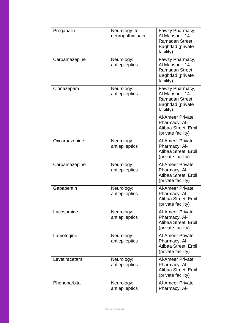| Pregabalin    | Neurology: for<br>neuropathic pain | Fawzy Pharmacy,<br>Al Mansour, 14<br>Ramadan Street,<br>Baghdad (private<br>facility)  |
|---------------|------------------------------------|----------------------------------------------------------------------------------------|
| Carbamazepine | Neurology:<br>antiepileptics       | Fawzy Pharmacy,<br>Al Mansour, 14<br>Ramadan Street,<br>Baghdad (private<br>facility)  |
| Clonazepam    | Neurology:<br>antiepileptics       | Fawzy Pharmacy,<br>Al Mansour, 14<br>Ramadan Street,<br>Baghdad (private<br>facility)  |
|               |                                    | <b>Al-Ameer Private</b><br>Pharmacy, Al-<br>Atibaa Street, Erbil<br>(private facility) |
| Oxcarbazepine | Neurology:<br>antiepileptics       | <b>Al-Ameer Private</b><br>Pharmacy, Al-<br>Atibaa Street, Erbil<br>(private facility) |
| Carbamazepine | Neurology:<br>antiepileptics       | <b>Al-Ameer Private</b><br>Pharmacy, Al-<br>Atibaa Street, Erbil<br>(private facility) |
| Gabapentin    | Neurology:<br>antiepileptics       | <b>Al-Ameer Private</b><br>Pharmacy, Al-<br>Atibaa Street, Erbil<br>(private facility) |
| Lacosamide    | Neurology:<br>antiepileptics       | <b>Al-Ameer Private</b><br>Pharmacy, Al-<br>Atibaa Street, Erbil<br>(private facility) |
| Lamotrigine   | Neurology:<br>antiepileptics       | <b>Al-Ameer Private</b><br>Pharmacy, Al-<br>Atibaa Street, Erbil<br>(private facility) |
| Levetiracetam | Neurology:<br>antiepileptics       | <b>Al-Ameer Private</b><br>Pharmacy, Al-<br>Atibaa Street, Erbil<br>(private facility) |
| Phenobarbital | Neurology:<br>antiepileptics       | <b>Al-Ameer Private</b><br>Pharmacy, Al-                                               |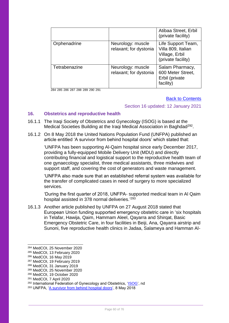|               |                                             | Atibaa Street, Erbil<br>(private facility)                                       |
|---------------|---------------------------------------------|----------------------------------------------------------------------------------|
| Orphenadrine  | Neurology: muscle<br>relaxant; for dystonia | Life Support Team,<br>Villa 809, Italian<br>Village, Erbil<br>(private facility) |
| Tetrabenazine | Neurology: muscle<br>relaxant; for dystonia | Salam Pharmacy,<br>600 Meter Street,<br>Erbil (private<br>facility)              |

284 285 286 287 288 289 290 291

# [Back to Contents](#page-2-0)

## Section 16 updated: 12 January 2021

# **16. Obstetrics and reproductive health**

- 16.1.1 The Iraqi Society of Obstetrics and Gynecology (ISOG) is based at the Medical Societies Building at the Iraqi Medical Association in Baghdad<sup>292</sup>.
- 16.1.2 On 8 May 2018 the United Nations Population Fund (UNFPA) published an article entitled 'A survivor from behind hospital doors' which stated that:

'UNFPA has been supporting Al-Qaim hospital since early December 2017, providing a fully-equipped Mobile Delivery Unit (MDU) and directly contributing financial and logistical support to the reproductive health team of one gynaecology specialist, three medical assistants, three midwives and support staff, and covering the cost of generators and waste management.

'UNFPA also made sure that an established referral system was available for the transfer of complicated cases in need of surgery to more specialized services.

'During the first quarter of 2018, UNFPA- supported medical team in Al Qaim hospital assisted in 378 normal deliveries.<sup>'293</sup>

16.1.3 Another article published by UNFPA on 27 August 2018 stated that European Union funding supported emergency obstetric care in 'six hospitals in Telafar, Hawija, Qaim, Hammam Aleel, Qayarra and Shirqat, Basic Emergency Obstetric Care, in four facilities in Beiji, Ana, Qayarra airstrip and Sunoni, five reproductive health clinics in Jadaa, Salameya and Hamman Al-

1

<sup>284</sup> MedCOI, 25 November 2020

<sup>285</sup> MedCOI, 13 February 2020

<sup>286</sup> MedCOI, 16 May 2019

<sup>287</sup> MedCOI, 19 February 2019

<sup>288</sup> MedCOI, 31 January 2019

<sup>289</sup> MedCOI, 25 November 2020

<sup>290</sup> MedCOI, 19 October 2020

<sup>291</sup> MedCOI, 7 April 2020

<sup>292</sup> International Federation of Gynecology and Obstetrics, ['ISOG'](https://www.figo.org/iraqi-society-obstetrics-gynecology-isog), nd

<sup>293</sup> UNFPA, ['A survivor from behind hospital doors',](https://iraq.unfpa.org/en/news/survivor-behind-hospital-doors) 8 May 2018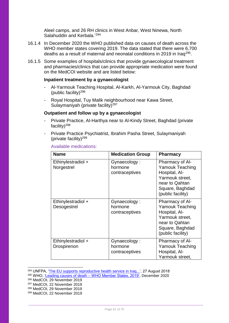Aleel camps, and 26 RH clinics in West Anbar, West Ninewa, North Salahuddin and Kerbala.'<sup>294</sup>

- 16.1.4 In December 2020 the WHO published data on causes of death across the WHO member states covering 2019. The data stated that there were 6,700 deaths as a result of maternal and neonatal conditions in 2019 in Iraq<sup>295</sup>.
- 16.1.5 Some examples of hospitals/clinics that provide gynaecological treatment and pharmacies/clinics that can provide appropriate medication were found on the MedCOI website and are listed below:

#### **Inpatient treatment by a gynaecologist**

- Al-Yarmouk Teaching Hospital, Al-Karkh, Al-Yarmouk City, Baghdad (public facility)<sup>296</sup>
- Royal Hospital, Tuy Malik neighbourhood near Kawa Street, Sulaymaniyah (private facility)<sup>297</sup>

#### **Outpatient and follow up by a gynaecologist**

- Private Practice, Al-Harthya near to Al-Kindy Street, Baghdad (private facility)<sup>298</sup>
- Private Practice Psychiatrist, Ibrahim Pasha Street, Sulaymaniyah (private facility)<sup>299</sup>

| <b>Name</b>                       | <b>Medication Group</b>                   | <b>Pharmacy</b>                                                                                                                                |
|-----------------------------------|-------------------------------------------|------------------------------------------------------------------------------------------------------------------------------------------------|
| Ethinylestradiol +<br>Norgestrel  | Gynaecology:<br>hormone<br>contraceptives | <b>Pharmacy of Al-</b><br><b>Yamouk Teaching</b><br>Hospital, Al-<br>Yarmouk street,<br>near to Qahtan<br>Square, Baghdad<br>(public facility) |
| Ethinylestradiol +<br>Desogestrel | Gynaecology:<br>hormone<br>contraceptives | Pharmacy of Al-<br><b>Yamouk Teaching</b><br>Hospital, Al-<br>Yarmouk street,<br>near to Qahtan<br>Square, Baghdad<br>(public facility)        |
| Ethinylestradiol +<br>Drospirenon | Gynaecology:<br>hormone<br>contraceptives | Pharmacy of Al-<br><b>Yamouk Teaching</b><br>Hospital, Al-<br>Yarmouk street,                                                                  |

#### Available medications:

<sup>&</sup>lt;sup>294</sup> UNFPA, '<u>The EU supports reproductive health service in Iraq...',</u> 27 August 2018

<sup>&</sup>lt;sup>295</sup> WHO, 'Leading causes of death – [WHO Member States, 2019',](https://www.who.int/data/gho/data/themes/mortality-and-global-health-estimates/ghe-leading-causes-of-death) December 2020

<sup>296</sup> MedCOI, 29 November 2019

<sup>297</sup> MedCOI, 22 November 2019

<sup>298</sup> MedCOI, 29 November 2019

<sup>299</sup> MedCOI, 22 November 2019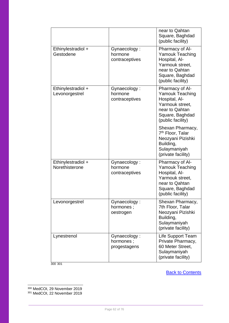|                                      |                                           | near to Qahtan<br>Square, Baghdad<br>(public facility)                                                                                  |
|--------------------------------------|-------------------------------------------|-----------------------------------------------------------------------------------------------------------------------------------------|
| Ethinylestradiol +<br>Gestodene      | Gynaecology:<br>hormone<br>contraceptives | Pharmacy of Al-<br><b>Yamouk Teaching</b><br>Hospital, Al-<br>Yarmouk street,<br>near to Qahtan<br>Square, Baghdad<br>(public facility) |
| Ethinylestradiol +<br>Levonorgestrel | Gynaecology:<br>hormone<br>contraceptives | Pharmacy of Al-<br><b>Yamouk Teaching</b><br>Hospital, Al-<br>Yarmouk street,<br>near to Qahtan<br>Square, Baghdad<br>(public facility) |
|                                      |                                           | Shexan Pharmacy,<br>7 <sup>th</sup> Floor, Talar<br>Neozyani Pizishki<br>Building,<br>Sulaymaniyah<br>(private facility)                |
| Ethinylestradiol +<br>Norethisterone | Gynaecology:<br>hormone<br>contraceptives | Pharmacy of Al-<br><b>Yamouk Teaching</b><br>Hospital, Al-<br>Yarmouk street,<br>near to Qahtan<br>Square, Baghdad<br>(public facility) |
| Levonorgestrel                       | Gynaecology:<br>hormones;<br>oestrogen    | Shexan Pharmacy,<br>7th Floor, Talar<br>Neozyani Pizishki<br>Building,<br>Sulaymaniyah<br>(private facility)                            |
| Lynestrenol<br>300 301               | Gynaecology:<br>hormones;<br>progestagens | Life Support Team<br>Private Pharmacy,<br>60 Meter Street,<br>Sulaymaniyah<br>(private facility)                                        |

**[Back to Contents](#page-2-0)** 

<sup>300</sup> MedCOI, 29 November 2019 <sup>301</sup> MedCOI, 22 November 2019

 $\overline{a}$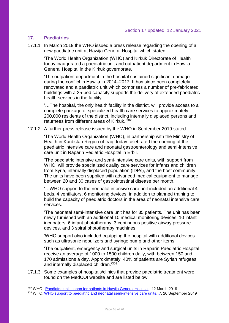# **17. Paediatrics**

 $\overline{a}$ 

17.1.1 In March 2019 the WHO issued a press release regarding the opening of a new paediatric unit at Hawija General Hospital which stated:

'The World Health Organization (WHO) and Kirkuk Directorate of Health today inaugurated a paediatric unit and outpatient department in Hawija General Hospital in the Kirkuk governorate.

'The outpatient department in the hospital sustained significant damage during the conflict in Hawija in 2014–2017. It has since been completely renovated and a paediatric unit which comprises a number of pre-fabricated buildings with a 25-bed capacity supports the delivery of extended paediatric health services in the facility.

'…The hospital, the only health facility in the district, will provide access to a complete package of specialized health care services to approximately 200,000 residents of the district, including internally displaced persons and returnees from different areas of Kirkuk.' 302

17.1.2 A further press release issued by the WHO in September 2019 stated:

'The World Health Organization (WHO), in partnership with the Ministry of Health in Kurdistan Region of Iraq, today celebrated the opening of the paediatric intensive care and neonatal gastroenterology and semi-intensive care unit in Raparin Pediatric Hospital in Erbil.

'The paediatric intensive and semi-intensive care units, with support from WHO, will provide specialized quality care services for infants and children from Syria, internally displaced population (IDPs), and the host community. The units have been supplied with advanced medical equipment to manage between 20 and 30 cases of gastrointestinal disease per month.

'…WHO support to the neonatal intensive care unit included an additional 4 beds, 4 ventilators, 6 monitoring devices, in addition to planned training to build the capacity of paediatric doctors in the area of neonatal intensive care services.

'The neonatal semi-intensive care unit has for 35 patients. The unit has been newly furnished with an additional 10 medical monitoring devices, 10 infant incubators, 6 infant phototherapy, 3 continuous positive airway pressure devices, and 3 spiral phototherapy machines.

'WHO support also included equipping the hospital with additional devices such as ultrasonic nebulizers and syringe pump and other items.

'The outpatient, emergency and surgical units in Raparin Paediatric Hospital receive an average of 1000 to 1500 children daily, with between 150 and 170 admissions a day. Approximately, 40% of patients are Syrian refugees and internally displaced children.'303

17.1.3 Some examples of hospitals/clinics that provide paediatric treatment were found on the MedCOI website and are listed below:

<sup>&</sup>lt;sup>302</sup> WHO, 'Paediatric unit...open for patients in Hawija General Hospital', 12 March 2019 <sup>303</sup> WHO,['WHO support to paediatric and neonatal semi-intensive care units…',](http://www.emro.who.int/irq/iraq-news/who-support-to-paediatric-and-neonatal-semi-intensive-care-units-in-raparin-paediatric-hospital-in-erbil.html) 26 September 2019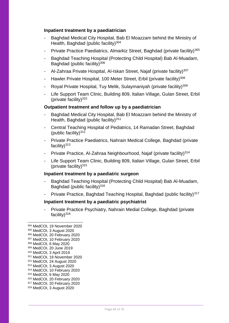## **Inpatient treatment by a paediatrician**

- Baghdad Medical City Hospital, Bab El Moazzam behind the Ministry of Health, Baghdad (public facility)<sup>304</sup>
- Private Practice Paediatrics, Almarkiz Street, Baghdad (private facility)<sup>305</sup>
- Baghdad Teaching Hospital (Protecting Child Hospital) Bab Al-Muadam, Baghdad (public facility) $306$
- Al-Zahraa Private Hospital, Al-Iskan Street, Najaf (private facility)<sup>307</sup>
- Hawler Private Hospital, 100 Meter Street, Erbil (private facility)<sup>308</sup>
- Royal Private Hospital, Tuy Melik, Sulaymaniyah (private facility)<sup>309</sup>
- Life Support Team Clinic, Building 809, Italian Village, Gulan Street, Erbil (private facility) $310$

## **Outpatient treatment and follow up by a paediatrician**

- Baghdad Medical City Hospital, Bab El Moazzam behind the Ministry of Health, Baghdad (public facility)<sup>311</sup>
- Central Teaching Hospital of Pediatrics, 14 Ramadan Street, Baghdad (public facility) $312$
- Private Practice Paediatrics, Nahrain Medical College, Baghdad (private facility)<sup>313</sup>
- Private Practice, Al-Zahraa Neighbourhood, Najaf (private facility)<sup>314</sup>
- Life Support Team Clinic, Building 809, Italian Village, Gulan Street, Erbil (private facility) $315$

#### **Inpatient treatment by a paediatric surgeon**

- Baghdad Teaching Hospital (Protecting Child Hospital) Bab Al-Muadam, Baghdad (public facility)<sup>316</sup>
- Private Practice, Baghdad Teaching Hospital, Baghdad (public facility)<sup>317</sup>

# **Inpatient treatment by a paediatric psychiatrist**

- Private Practice Psychiatry, Nahrain Medial College, Baghdad (private facility) $318$ 

- MedCOI, 19 November 2020 MedCOI, 3 August 2020 MedCOI, 20 February 2020 MedCOI, 10 February 2020 MedCOI, 6 May 2020 MedCOI, 20 June 2019 MedCOI, 3 April 2019 MedCOI, 19 November 2020 MedCOI, 24 August 2020 MedCOI, 3 August 2020 MedCOI, 10 February 2020 MedCOI, 6 May 2020 MedCOI, 20 February 2020 MedCOI, 20 February 2020 MedCOI, 3 August 2020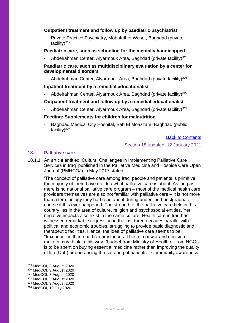## **Outpatient treatment and follow up by paediatric psychiatrist**

Private Practice Psychiatry, Mohafathet Waset, Baghdad (private facility) $319$ 

# **Paediatric care, such as schooling for the mentally handicapped**

Abdelrahman Center, Alyarmouk Area, Baghdad (private facility)<sup>320</sup>

# **Paediatric care, such as multidisciplinary evaluation by a center for developmental disorders**

Abdelrahman Center, Alyarmouk Area, Baghdad (private facility)<sup>321</sup>

## **Inpatient treatment by a remedial educationalist**

Abdelrahman Center, Alyarmouk Area, Baghdad (private facility)<sup>322</sup>

# **Outpatient treatment and follow up by a remedial educationalist**

Abdelrahman Center, Alyarmouk Area, Baghdad (private facility)<sup>323</sup>

## **Feeding: Supplements for children for malnutrition**

- Baghdad Medical City Hospital, Bab El Moazzam, Baghdad (public facility) $324$ 

# [Back to Contents](#page-2-0)

## Section 18 updated: 12 January 2021

# **18. Palliative care**

18.1.1 An article entitled 'Cultural Challenges in Implementing Palliative Care Services in Iraq' published in the Palliative Medicine and Hospice Care Open Journal (PMHCOJ) in May 2017 stated:

'The concept of palliative care among Iraqi people and patients is primitive; the majority of them have no idea what palliative care is about. As long as there is no national palliative care program – most of the medical health care providers themselves are also not familiar with palliative care – it is not more than a terminology they had read about during under- and postgraduate course if this ever happened. The strength of the palliative care field in this country lies in the area of culture, religion and psychosocial entities. Yet, negative impacts also exist in the same culture. Health care in Iraq has witnessed remarkable regression in the last three decades parallel with political and economic troubles, struggling to provide basic diagnostic and therapeutic facilities. Hence, the idea of palliative care seems to be ''luxurious'' in these bad circumstances. Those in power and decision makers may think in this way: "budget from Ministry of Health or from NGOs is to be spent on buying essential medicine rather than improving the quality of life (QoL) or decreasing the suffering of patients''. Community awareness

<sup>319</sup> MedCOI, 3 August 2020

<sup>320</sup> MedCOI, 3 August 2020

<sup>321</sup> MedCOI, 3 August 2020

<sup>322</sup> MedCOI, 3 August 2020

<sup>323</sup> MedCOI, 3 August 2020

<sup>324</sup> MedCOI, 10 July 2020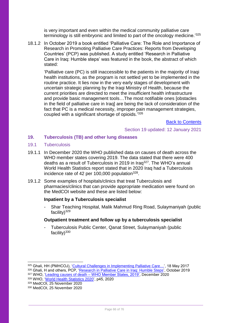is very important and even within the medical community palliative care terminology is still embryonic and limited to part of the oncology medicine.'<sup>325</sup>

18.1.2 In October 2019 a book entitled 'Palliative Care: The Role and Importance of Research in Promoting Palliative Care Practices: Reports from Developing Countries' (PCP) was published. A study entitled 'Research in Palliative Care in Iraq: Humble steps' was featured in the book, the abstract of which stated:

'Palliative care (PC) is still inaccessible to the patients in the majority of Iraqi health institutions, as the program is not settled yet to be implemented in the routine practice. It lies now in the very early stages of development with uncertain strategic planning by the Iraqi Ministry of Health, because the current priorities are directed to meet the insufficient health infrastructure and provide basic management tools…The most notifiable ones [obstacles in the field of palliative care in Iraq] are being the lack of consideration of the fact that PC is a medical necessity, improper pain management strategies, coupled with a significant shortage of opioids.<sup>'326</sup>

[Back to Contents](#page-2-0)

## Section 19 updated: 12 January 2021

## **19. Tuberculosis (TB) and other lung diseases**

#### 19.1 Tuberculosis

- 19.1.1 In December 2020 the WHO published data on causes of death across the WHO member states covering 2019. The data stated that there were 400 deaths as a result of Tuberculosis in 2019 in Iraq<sup>327</sup>. The WHO's annual World Health Statistics report stated that in 2020 Iraq had a Tuberculosis incidence rate of 42 per 100,000 population $328$ .
- 19.1.2 Some examples of hospitals/clinics that treat Tuberculosis and pharmacies/clinics that can provide appropriate medication were found on the MedCOI website and these are listed below:

#### **Inpatient by a Tuberculosis specialist**

- Shar Teaching Hospital, Malik Mahmud Ring Road, Sulaymaniyah (public facility) $329$ 

#### **Outpatient treatment and follow up by a tuberculosis specialist**

- Tuberculosis Public Center, Qanat Street, Sulaymaniyah (public facility) $330$ 

<sup>325</sup> Ghali, HH (PMHCOJ), ['Cultural Challenges in Implementing Palliative Care…',](https://openventio.org/wp-content/uploads/Cultural-Challenges-in-Implementing-Palliative-Care-Services-In-Iraq-PMHCOJ-SE-1-105.pdf) 18 May 2017 326 Ghali, H and others, PCP, ['Research in Palliative Care in Iraq: Humble Steps'](https://www.researchgate.net/publication/337570198_Research_in_Palliative_Care_in_Iraq_Humble_steps), October 2019

<sup>327</sup> WHO, 'Leading causes of death – [WHO Member States, 2019',](https://www.who.int/data/gho/data/themes/mortality-and-global-health-estimates/ghe-leading-causes-of-death) December 2020

<sup>328</sup> WHO, ['World Health Statistics 2020',](https://apps.who.int/iris/bitstream/handle/10665/332070/9789240005105-eng.pdf) p45, 2020

<sup>329</sup> MedCOI, 25 November 2020

<sup>330</sup> MedCOI, 25 November 2020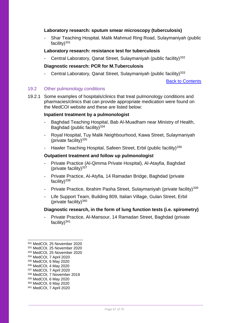## **Laboratory research: sputum smear microscopy (tuberculosis)**

- Shar Teaching Hospital, Malik Mahmud Ring Road, Sulaymaniyah (public facility) $331$ 

# **Laboratory research: resistance test for tuberculosis**

Central Laboratory, Qanat Street, Sulaymaniyah (public facility)<sup>332</sup>

## **Diagnostic research: PCR for M.Tuberculosis**

Central Laboratory, Qanat Street, Sulaymaniyah (public facility)<sup>333</sup>

[Back to Contents](#page-2-0)

# 19.2 Other pulmonology conditions

19.2.1 Some examples of hospitals/clinics that treat pulmonology conditions and pharmacies/clinics that can provide appropriate medication were found on the MedCOI website and these are listed below:

#### **Inpatient treatment by a pulmonologist**

- Baghdad Teaching Hospital, Bab Al-Muadham near Ministry of Health, Baghdad (public facility) $334$
- Royal Hospital, Tuy Malik Neighbourhood, Kawa Street, Sulaymaniyah (private facility) $335$
- Hawler Teaching Hospital, Safeen Street, Erbil (public facility)<sup>336</sup>

#### **Outpatient treatment and follow up pulmonologist**

- Private Practice (Al-Qimma Private Hospital), Al-Atayfia, Baghdad (private facility) $337$
- Private Practice, Al-Atyfia, 14 Ramadan Bridge, Baghdad (private facility) $338$
- Private Practice, Ibrahim Pasha Street, Sulaymaniyah (private facility)<sup>339</sup>
- Life Support Team, Building 809, Italian Village, Gulan Street, Erbil (private facility) $340$

#### **Diagnostic research, in the form of lung function tests (i.e. spirometry)**

Private Practice, Al-Mansour, 14 Ramadan Street, Baghdad (private facility)<sup>341</sup>

-

<sup>337</sup> MedCOI, 7 April 2020

<sup>340</sup> MedCOI, 6 May 2020

<sup>331</sup> MedCOI, 25 November 2020

<sup>332</sup> MedCOI, 25 November 2020

<sup>333</sup> MedCOI, 25 November 2020

<sup>334</sup> MedCOI, 7 April 2020

<sup>335</sup> MedCOI, 6 May 2020 <sup>336</sup> MedCOI, 4 May 2020

<sup>338</sup> MedCOI, 7 November 2019

<sup>339</sup> MedCOI, 6 May 2020

<sup>341</sup> MedCOI, 7 April 2020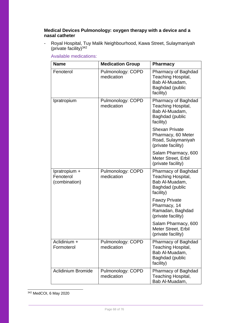# **Medical Devices Pulmonology: oxygen therapy with a device and a nasal catheter**

- Royal Hospital, Tuy Malik Neighbourhood, Kawa Street, Sulaymaniyah (private facility) $342$ 

**Name Medication Group Pharmacy** Fenoterol Pulmonology: COPD medication Pharmacy of Baghdad Teaching Hospital, Bab Al-Muadam, Baghdad (public facility) Ipratropium Pulmonology: COPD medication Pharmacy of Baghdad Teaching Hospital, Bab Al-Muadam, Baghdad (public facility) Shexan Private Pharmacy, 60 Meter Road, Sulaymaniyah (private facility) Salam Pharmacy, 600 Meter Street, Erbil (private facility) Ipratropium + Fenoterol (combination) Pulmonology: COPD medication Pharmacy of Baghdad Teaching Hospital, Bab Al-Muadam, Baghdad (public facility) Fawzy Private Pharmacy, 14 Ramadan, Baghdad (private facility) Salam Pharmacy, 600 Meter Street, Erbil (private facility) Aclidinium + Formoterol Pulmonology: COPD medication Pharmacy of Baghdad Teaching Hospital, Bab Al-Muadam, Baghdad (public facility) Aclidinium Bromide | Pulmonology: COPD medication Pharmacy of Baghdad Teaching Hospital, Bab Al-Muadam,

Available medications:

<sup>342</sup> MedCOI, 6 May 2020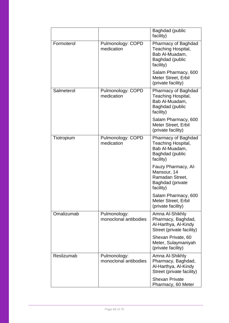|            |                                       | <b>Baghdad</b> (public<br>facility)                                                                |
|------------|---------------------------------------|----------------------------------------------------------------------------------------------------|
| Formoterol | Pulmonology: COPD<br>medication       | Pharmacy of Baghdad<br>Teaching Hospital,<br>Bab Al-Muadam,<br>Baghdad (public<br>facility)        |
|            |                                       | Salam Pharmacy, 600<br>Meter Street, Erbil<br>(private facility)                                   |
| Salmeterol | Pulmonology: COPD<br>medication       | Pharmacy of Baghdad<br><b>Teaching Hospital,</b><br>Bab Al-Muadam,<br>Baghdad (public<br>facility) |
|            |                                       | Salam Pharmacy, 600<br>Meter Street, Erbil<br>(private facility)                                   |
| Tiotropium | Pulmonology: COPD<br>medication       | Pharmacy of Baghdad<br>Teaching Hospital,<br>Bab Al-Muadam,<br>Baghdad (public<br>facility)        |
|            |                                       | Fauzy Pharmacy, Al-<br>Mansour, 14<br>Ramadan Street,<br>Baghdad (private<br>facility)             |
|            |                                       | Salam Pharmacy, 600<br>Meter Street, Erbil<br>(private facility)                                   |
| Omalizumab | Pulmonology:<br>monoclonal antibodies | Amna Al-Shikhly<br>Pharmacy, Baghdad,<br>Al-Harthya, Al-Kindy<br>Street (private facility)         |
|            |                                       | Shexan Private, 60<br>Meter, Sulaymaniyah<br>(private facility)                                    |
| Reslizumab | Pulmonology:<br>monoclonal antibodies | Amna Al-Shikhly<br>Pharmacy, Baghdad,<br>Al-Harthya, Al-Kindy<br>Street (private facility)         |
|            |                                       | <b>Shexan Private</b><br>Pharmacy, 60 Meter                                                        |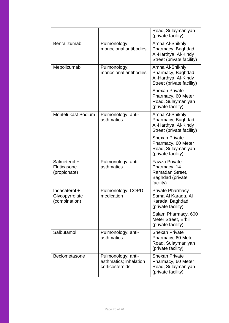|                                                  |                                                                 | Road, Sulaymaniyah<br>(private facility)                                                        |
|--------------------------------------------------|-----------------------------------------------------------------|-------------------------------------------------------------------------------------------------|
| Benralizumab                                     | Pulmonology:<br>monoclonal antibodies                           | Amna Al-Shikhly<br>Pharmacy, Baghdad,<br>Al-Harthya, Al-Kindy<br>Street (private facility)      |
| Mepolizumab                                      | Pulmonology:<br>monoclonal antibodies                           | Amna Al-Shikhly<br>Pharmacy, Baghdad,<br>Al-Harthya, Al-Kindy<br>Street (private facility)      |
|                                                  |                                                                 | <b>Shexan Private</b><br>Pharmacy, 60 Meter<br>Road, Sulaymaniyah<br>(private facility)         |
| <b>Montelukast Sodium</b>                        | Pulmonology: anti-<br>asthmatics                                | Amna Al-Shikhly<br>Pharmacy, Baghdad,<br>Al-Harthya, Al-Kindy<br>Street (private facility)      |
|                                                  |                                                                 | <b>Shexan Private</b><br>Pharmacy, 60 Meter<br>Road, Sulaymaniyah<br>(private facility)         |
| Salmeterol +<br>Fluticasone<br>(propionate)      | Pulmonology: anti-<br>asthmatics                                | <b>Fawza Private</b><br>Pharmacy, 14<br>Ramadan Street,<br><b>Baghdad</b> (private<br>facility) |
| Indacaterol +<br>Glycopyrrolate<br>(combination) | Pulmonology: COPD<br>medication                                 | <b>Private Pharmacy</b><br>Sama Al Karada, Al<br>Karada, Baghdad<br>(private facility)          |
|                                                  |                                                                 | Salam Pharmacy, 600<br>Meter Street, Erbil<br>(private facility)                                |
| Salbutamol                                       | Pulmonology: anti-<br>asthmatics                                | <b>Shexan Private</b><br>Pharmacy, 60 Meter<br>Road, Sulaymaniyah<br>(private facility)         |
| Beclometasone                                    | Pulmonology: anti-<br>asthmatics; inhalation<br>corticosteroids | <b>Shexan Private</b><br>Pharmacy, 60 Meter<br>Road, Sulaymaniyah<br>(private facility)         |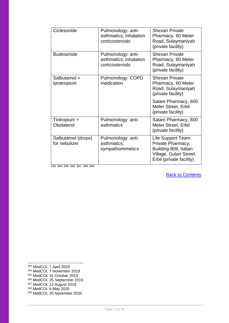| Ciclesonide                         | Pulmonology: anti-<br>asthmatics; inhalation<br>corticosteroids | <b>Shexan Private</b><br>Pharmacy, 60 Meter<br>Road, Sulaymaniyah<br>(private facility)                               |
|-------------------------------------|-----------------------------------------------------------------|-----------------------------------------------------------------------------------------------------------------------|
| <b>Budesonide</b>                   | Pulmonology: anti-<br>asthmatics; inhalation<br>corticosteroids | <b>Shexan Private</b><br>Pharmacy, 60 Meter<br>Road, Sulaymaniyah<br>(private facility)                               |
| Salbutamol +<br>Ipratropium         | Pulmonology: COPD<br>medication                                 | <b>Shexan Private</b><br>Pharmacy, 60 Meter<br>Road, Sulaymaniyah<br>(private facility)                               |
|                                     |                                                                 | Salam Pharmacy, 600<br>Meter Street, Erbil<br>(private facility)                                                      |
| Tiotropium +<br>Olodaterol          | Pulmonology: anti-<br>asthmatics                                | Salam Pharmacy, 600<br><b>Meter Street, Erbil</b><br>(private facility)                                               |
| Salbutamol (drops)<br>for nebulizer | Pulmonology: anti-<br>asthmatics;<br>sympathomimetics           | Life Support Team<br>Private Pharmacy,<br>Building 809, Italian<br>Village, Gulan Street,<br>Erbil (private facility) |

343 344 345 346 347 348 349

[Back to Contents](#page-2-0)

<sup>343</sup> MedCOI, 7 April 2020

- <sup>344</sup> MedCOI, 7 November 2019
- <sup>345</sup> MedCOI, 31 October 2019
- <sup>346</sup> MedCOI, 25 September 2019
- <sup>347</sup> MedCOI, 12 August 2019 <sup>348</sup> MedCOI, 6 May 2020
- <sup>349</sup> MedCOI, 25 November 2020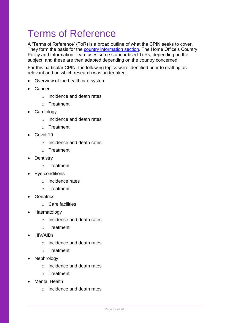# Terms of Reference

A 'Terms of Reference' (ToR) is a broad outline of what the CPIN seeks to cover. They form the basis for the [country information section.](#page-5-0) The Home Office's Country Policy and Information Team uses some standardised ToRs, depending on the subject, and these are then adapted depending on the country concerned.

For this particular CPIN, the following topics were identified prior to drafting as relevant and on which research was undertaken:

- Overview of the healthcare system
- Cancer
	- o Incidence and death rates
	- o Treatment
- Cardiology
	- o Incidence and death rates
	- o Treatment
- Covid-19
	- o Incidence and death rates
	- o Treatment
- Dentistry
	- o Treatment
- Eye conditions
	- o Incidence rates
	- o Treatment
- Geriatrics
	- o Care facilities
- Haematology
	- o Incidence and death rates
	- o Treatment
- HIV/AIDs
	- o Incidence and death rates
	- o Treatment
- Nephrology
	- o Incidence and death rates
	- o Treatment
- Mental Health
	- o Incidence and death rates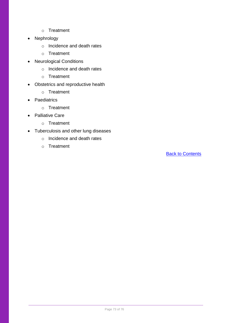- o Treatment
- Nephrology
	- o Incidence and death rates
	- o Treatment
- Neurological Conditions
	- o Incidence and death rates
	- o Treatment
- Obstetrics and reproductive health
	- o Treatment
- Paediatrics
	- o Treatment
- Palliative Care
	- o Treatment
- Tuberculosis and other lung diseases
	- o Incidence and death rates
	- o Treatment

[Back to Contents](#page-2-0)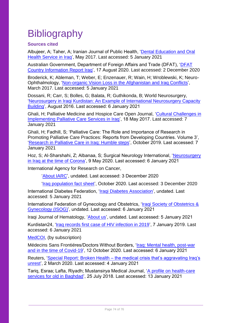# **Bibliography**

## **Sources cited**

Albujeer, A; Taher, A; Iranian Journal of Public Health, ['Dental Education and Oral](https://www.ncbi.nlm.nih.gov/pmc/articles/PMC5442288/)  [Health Service in Iraq'](https://www.ncbi.nlm.nih.gov/pmc/articles/PMC5442288/), May 2017. Last accessed: 5 January 2021

Australian Government, Department of Foreign Affairs and Trade (DFAT), ['DFAT](https://www.ecoi.net/en/file/local/2036511/country-information-report-iraq.pdf)  [Country Information Report Iraq'](https://www.ecoi.net/en/file/local/2036511/country-information-report-iraq.pdf), 17 August 2020. Last accessed: 2 December 2020

Broderick, K; Ableman, T; Weber, E; Enzenauer, R; Wain, H; Wroblewski, K; Neuro-Ophthalmology, ['Non-organic Vision Loss in the Afghanistan and Iraq Conflicts'](https://www.ncbi.nlm.nih.gov/pmc/articles/PMC5762151/), March 2017. Last accessed: 5 January 2021

Dossani, R; Carr, S; Bolles, G; Balata, R; Guthikonda, B; World Neurosurgery, ['Neurosurgery in Iraqi Kurdistan: An Example of International Neurosurgery Capacity](https://pubmed.ncbi.nlm.nih.gov/27150657/)  [Building'](https://pubmed.ncbi.nlm.nih.gov/27150657/), August 2016. Last accessed: 6 January 2021

Ghali, H; Palliative Medicine and Hospice Care Open Journal, ['Cultural Challenges in](https://openventio.org/wp-content/uploads/Cultural-Challenges-in-Implementing-Palliative-Care-Services-In-Iraq-PMHCOJ-SE-1-105.pdf)  [Implementing Palliative Care Services in Iraq'](https://openventio.org/wp-content/uploads/Cultural-Challenges-in-Implementing-Palliative-Care-Services-In-Iraq-PMHCOJ-SE-1-105.pdf), 18 May 2017. Last accessed: 7 January 2021

Ghali, H; Fadhill, S; 'Palliative Care: The Role and Importance of Research in Promoting Palliative Care Practices: Reports from Developing Countries. Volume 3', ['Research in Palliative Care in Iraq: Humble steps'](https://www.researchgate.net/publication/337570198_Research_in_Palliative_Care_in_Iraq_Humble_steps), October 2019. Last accessed: 7 January 2021

Hoz, S; Al-Sharshahi, Z; Albanaa, S; Surgical Neurology International, ['Neurosurgery](https://surgicalneurologyint.com/surgicalint-articles/neurosurgery-in-iraq-at-the-time-of-corona/)  [in Iraq at the time of Corona'](https://surgicalneurologyint.com/surgicalint-articles/neurosurgery-in-iraq-at-the-time-of-corona/), 9 May 2020. Last accessed: 6 January 2021

International Agency for Research on Cancer,

['About IARC'](https://www.iarc.fr/cards_page/about-iarc/), undated. Last accessed: 3 December 2020

['Iraq population fact sheet'](https://gco.iarc.fr/today/data/factsheets/populations/368-iraq-fact-sheets.pdf), October 2020. Last accessed: 3 December 2020

International Diabetes Federation, ['Iraqi Diabetes Association'](https://www.idf.org/our-network/regions-members/middle-east-and-north-africa/members/36-iraq.html?layout=details&mid=107), undated. Last accessed: 5 January 2021

International Federation of Gynecology and Obstetrics, 'Iragi Society of Obstetrics & [Gynecology \(ISOG\)'](https://www.figo.org/iraqi-society-obstetrics-gynecology-isog), undated. Last accessed: 6 January 2021

Iraqi Journal of Hematology, ['About us'](https://www.ijhonline.org/aboutus.asp), undated. Last accessed: 5 January 2021

Kurdistan24, ['Iraq records first case of HIV infection in 2019'](https://www.kurdistan24.net/en/story/18516-Iraq-records-first-case-of-HIV-infection-in-2019), 7 January 2019. Last accessed: 6 January 2021

[MedCOI,](https://medcoi.easo.europa.eu/) (by subscription)

Médecins Sans Frontiéres/Doctors Without Borders, ['Iraq: Mental health, post-war](https://www.msf-me.org/article/iraq-mental-health-post-war-and-time-covid-19)  [and in the time of Covid-19'](https://www.msf-me.org/article/iraq-mental-health-post-war-and-time-covid-19), 12 October 2020. Last accessed: 6 January 2021

Reuters, 'Special Report: Broken Health – the medical crisis that's aggravating Iraq's [unrest'](https://www.reuters.com/article/us-iraq-health-specialreport-idUSKBN20P1QB), 2 March 2020. Last accessed: 4 January 2021

Tariq, Esraa; Lafta, Riyadh; Mustansirya Medical Journal, ['A profile on health-care](https://www.mmjonweb.org/article.asp?issn=2070-1128;year=2018;volume=17;issue=1;spage=52;epage=56;aulast=Tariq)  [services for old in Baghdad'](https://www.mmjonweb.org/article.asp?issn=2070-1128;year=2018;volume=17;issue=1;spage=52;epage=56;aulast=Tariq), 25 July 2018. Last accessed: 13 January 2021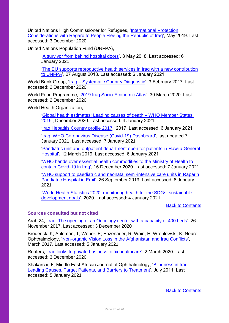United Nations High Commissioner for Refugees, ['International Protection](https://www.refworld.org/cgi-bin/texis/vtx/rwmain?page=search&docid=5cc9b20c4&skip=0&query=primary%20health%20centres&coi=IRQ)  [Considerations with Regard to People Fleeing the Republic of Iraq'](https://www.refworld.org/cgi-bin/texis/vtx/rwmain?page=search&docid=5cc9b20c4&skip=0&query=primary%20health%20centres&coi=IRQ), May 2019. Last accessed: 3 December 2020

United Nations Population Fund (UNFPA),

['A survivor from behind hospital doors'](https://iraq.unfpa.org/en/news/survivor-behind-hospital-doors), 8 May 2018. Last accessed: 6 January 2021

['The EU supports reproductive health services in Iraq with a new contribution](https://iraq.unfpa.org/en/news/eu-supports-reproductive-health-services-iraq-new-contribution-unfpa)  [to UNFPA'](https://iraq.unfpa.org/en/news/eu-supports-reproductive-health-services-iraq-new-contribution-unfpa), 27 August 2018. Last accessed: 6 January 2021

World Bank Group, '*Iraq – [Systematic Country Diagnostic'](http://documents1.worldbank.org/curated/en/542811487277729890/pdf/IRAQ-SCD-FINAL-cleared-02132017.pdf)*, 3 February 2017. Last accessed: 2 December 2020

World Food Programme, ['2019 Iraq Socio-Economic Atlas'](https://www.ecoi.net/en/file/local/2020086/WFP-0000110173.pdf), 30 March 2020. Last accessed: 2 December 2020

World Health Organization.

['Global health estimates: Leading causes of death –](https://www.who.int/data/gho/data/themes/mortality-and-global-health-estimates/ghe-leading-causes-of-death) WHO Member States, [2019'](https://www.who.int/data/gho/data/themes/mortality-and-global-health-estimates/ghe-leading-causes-of-death), December 2020. Last accessed: 4 January 2021

['Iraq Hepatitis Country profile 2017'](http://www.emro.who.int/images/stories/asd/hepatitis_profiles/iraq_hepatitis_profile.pdf), 2017. Last accessed: 6 January 2021

['Iraq: WHO Coronavirus Disease \(Covid-19\) Dashboard'](https://covid19.who.int/region/emro/country/iq), last updated 7 January 2021. Last accessed: 7 January 2021

['Paediatric unit and outpatient department open for patients in Hawija General](http://www.emro.who.int/irq/iraq-news/paediatric-unit-and-outpatient-department-open-for-patients-in-hawija-general-hospital.html)  [Hospital'](http://www.emro.who.int/irq/iraq-news/paediatric-unit-and-outpatient-department-open-for-patients-in-hawija-general-hospital.html), 12 March 2019. Last accessed: 6 January 2021

['WHO hands over essential health commodities to the Ministry of Health to](https://reliefweb.int/report/iraq/who-hands-over-essential-health-commodities-ministry-health-contain-covid-19-iraq-enar)  [contain Covid-19 in Iraq',](https://reliefweb.int/report/iraq/who-hands-over-essential-health-commodities-ministry-health-contain-covid-19-iraq-enar) 16 December 2020. Last accessed: 7 January 2021

['WHO support to paediatric and neonatal semi-intensive care units in Raparin](http://www.emro.who.int/irq/iraq-news/who-support-to-paediatric-and-neonatal-semi-intensive-care-units-in-raparin-paediatric-hospital-in-erbil.html)  [Paediatric Hospital in Erbil'](http://www.emro.who.int/irq/iraq-news/who-support-to-paediatric-and-neonatal-semi-intensive-care-units-in-raparin-paediatric-hospital-in-erbil.html), 26 September 2019. Last accessed: 6 January 2021

['World Health Statistics 2020: monitoring health for the SDGs, sustainable](https://apps.who.int/iris/bitstream/handle/10665/332070/9789240005105-eng.pdf)  [development goals'](https://apps.who.int/iris/bitstream/handle/10665/332070/9789240005105-eng.pdf), 2020. Last accessed: 4 January 2021

[Back to Contents](#page-2-0)

## **Sources consulted but not cited**

Arab 24, ['Iraq: The opening of an Oncology center with a capacity of 400 beds'](https://arab24.com/index.php/arab24-stories/iraq/item/8976-iraq-the-opening-of-an-oncology-center-with-a-capacity-of-400-beds), 26 November 2017. Last accessed: 3 December 2020

Broderick, K; Ableman, T; Weber, E; Enzenauer, R; Wain, H; Wroblewski, K; Neuro-Ophthalmology, ['Non-organic Vision Loss in the Afghanistan and Iraq Conflicts'](https://www.ncbi.nlm.nih.gov/pmc/articles/PMC5762151/), March 2017. Last accessed: 5 January 2021

Reuters, ['Iraq looks to private business to fix healthcare'](https://uk.reuters.com/article/us-iraq-health-investors-idUKKBN20P1QT), 2 March 2020. Last accessed: 3 December 2020

Shakarchi, F, Middle East African Journal of Ophthalmology, ['Blindness in](https://www.researchgate.net/publication/51614731_Blindness_in_Iraq_Leading_Causes_Target_Patients_and_Barriers_to_Treatment) Iraq: [Leading Causes, Target Patients, and Barriers to Treatment'](https://www.researchgate.net/publication/51614731_Blindness_in_Iraq_Leading_Causes_Target_Patients_and_Barriers_to_Treatment), July 2011. Last accessed: 5 January 2021

[Back to Contents](#page-2-0)